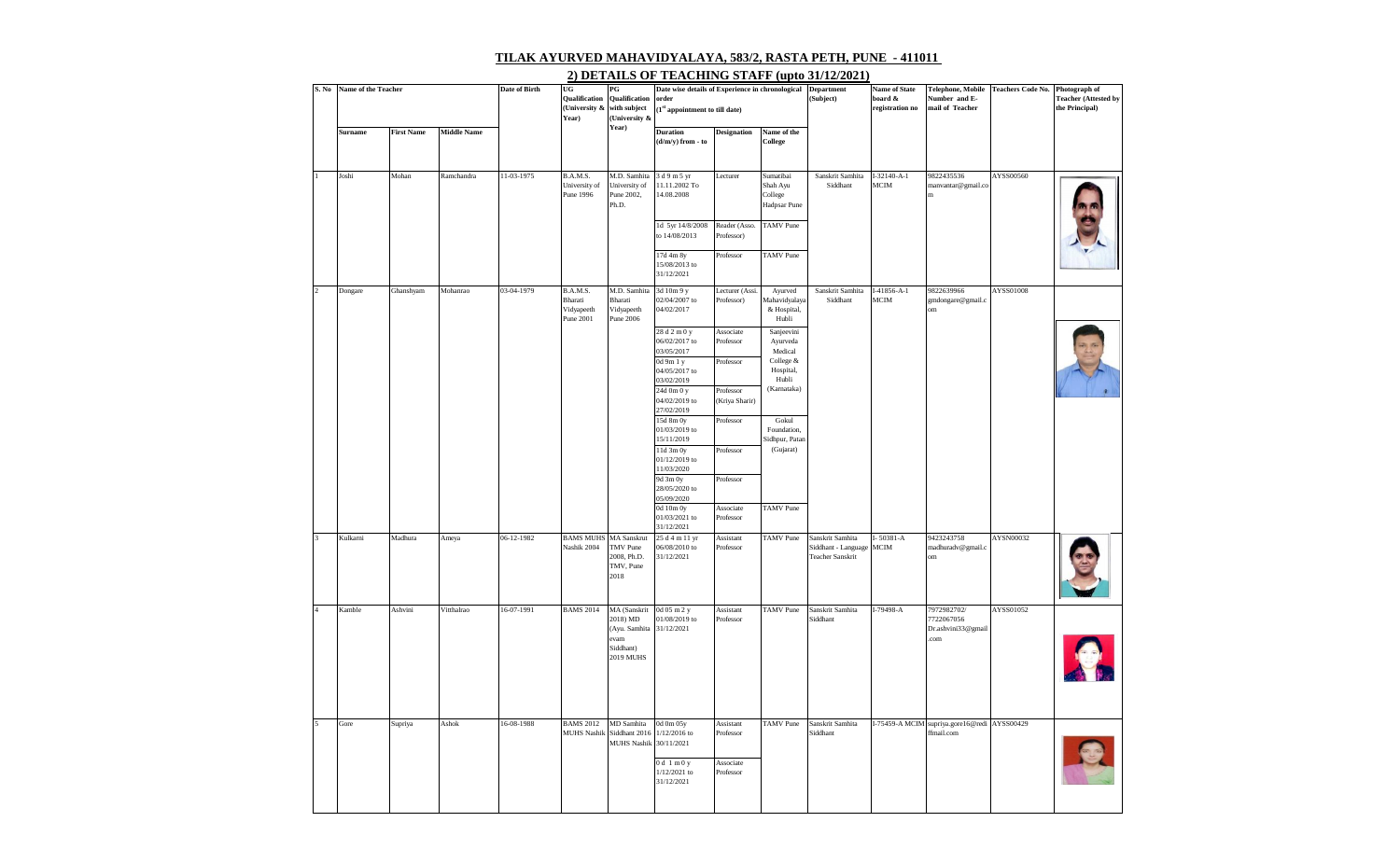## **TILAK AYURVED MAHAVIDYALAYA, 583/2, RASTA PETH, PUNE - 411011**

| S.No                     | Name of the Teacher |                   |                    | <b>Date of Birth</b> | UG                                             | $_{\rm PG}$                                                                            | Date wise details of Experience in chronological              |                                     |                                                  | <b>Department</b>                                                  | <b>Name of State</b>           | Telephone, Mobile                                          | <b>Teachers Code No.</b> | Photograph of                                 |
|--------------------------|---------------------|-------------------|--------------------|----------------------|------------------------------------------------|----------------------------------------------------------------------------------------|---------------------------------------------------------------|-------------------------------------|--------------------------------------------------|--------------------------------------------------------------------|--------------------------------|------------------------------------------------------------|--------------------------|-----------------------------------------------|
|                          |                     |                   |                    |                      | Qualification<br>(University &<br>Year)        | Qualification<br>with subject<br>(University &                                         | order<br>$\left(1^\text{st}\right.$ appointment to till date) |                                     |                                                  | (Subject)                                                          | board &<br>registration no     | Number and E-<br>mail of Teacher                           |                          | <b>Teacher (Attested by</b><br>the Principal) |
|                          | <b>Surname</b>      | <b>First Name</b> | <b>Middle Name</b> |                      |                                                | Year)                                                                                  | <b>Duration</b><br>(d/m/y) from - to                          | <b>Designation</b>                  | Name of the<br>College                           |                                                                    |                                |                                                            |                          |                                               |
|                          |                     |                   |                    |                      |                                                |                                                                                        |                                                               |                                     |                                                  |                                                                    |                                |                                                            |                          |                                               |
|                          | Joshi               | Mohan             | Ramchandra         | 11-03-1975           | B.A.M.S.<br>University of<br>Pune 1996         | M.D. Samhita<br>University of<br>Pune 2002,<br>Ph.D.                                   | 3 d 9 m 5 yr<br>11.11.2002 To<br>14.08.2008                   | Lecturer                            | Sumatibai<br>Shah Ayu<br>College<br>Hadpsar Pune | Sanskrit Samhita<br>Siddhant                                       | $I-32140 - A-1$<br><b>MCIM</b> | 9822435536<br>manvantar@gmail.co<br>m                      | AYSS00560                |                                               |
|                          |                     |                   |                    |                      |                                                |                                                                                        | 1d 5yr 14/8/2008<br>to 14/08/2013                             | Reader (Asso.<br>Professor)         | <b>TAMV</b> Pune                                 |                                                                    |                                |                                                            |                          |                                               |
|                          |                     |                   |                    |                      |                                                |                                                                                        | $17d$ 4m $8y$<br>15/08/2013 to<br>31/12/2021                  | Professor                           | <b>TAMV</b> Pune                                 |                                                                    |                                |                                                            |                          |                                               |
| $\overline{a}$           | Dongare             | Ghanshyam         | Mohanrao           | 03-04-1979           | B.A.M.S.<br>Bharati<br>Vidyapeeth<br>Pune 2001 | M.D. Samhita<br>Bharati<br>Vidyapeeth<br>Pune 2006                                     | 3d 10m 9 y<br>02/04/2007 to<br>04/02/2017                     | Lecturer (Assi.<br>Professor)       | Ayurved<br>Mahavidyalaya<br>& Hospital,<br>Hubli | Sanskrit Samhita<br>Siddhant                                       | $I-41856 - A-1$<br><b>MCIM</b> | 9822639966<br>gmdongare@gmail.c<br>om                      | AYSS01008                |                                               |
|                          |                     |                   |                    |                      |                                                |                                                                                        | 28 d 2 m 0 y<br>06/02/2017 to<br>03/05/2017                   | Associate<br>Professor<br>Professor | Sanjeevini<br>Ayurveda<br>Medical<br>College &   |                                                                    |                                |                                                            |                          |                                               |
|                          |                     |                   |                    |                      |                                                |                                                                                        | 0d 9m 1 y<br>04/05/2017 to<br>03/02/2019<br>24d 0m 0 y        | Professor                           | Hospital,<br>Hubli<br>(Karnataka)                |                                                                    |                                |                                                            |                          |                                               |
|                          |                     |                   |                    |                      |                                                |                                                                                        | 04/02/2019 to<br>27/02/2019                                   | (Kriya Sharir)                      |                                                  |                                                                    |                                |                                                            |                          |                                               |
|                          |                     |                   |                    |                      |                                                |                                                                                        | 15d 8m 0y<br>01/03/2019 to<br>15/11/2019                      | Professor                           | Gokul<br>Foundation,<br>Sidhpur, Patan           |                                                                    |                                |                                                            |                          |                                               |
|                          |                     |                   |                    |                      |                                                |                                                                                        | 11d 3m 0y<br>01/12/2019 to<br>11/03/2020                      | Professor                           | (Gujarat)                                        |                                                                    |                                |                                                            |                          |                                               |
|                          |                     |                   |                    |                      |                                                |                                                                                        | 9d 3m 0y<br>$28/05/2020$ to<br>05/09/2020                     | Professor                           |                                                  |                                                                    |                                |                                                            |                          |                                               |
|                          |                     |                   |                    |                      |                                                |                                                                                        | 0d 10m 0y<br>01/03/2021 to<br>31/12/2021                      | Associate<br>Professor              | <b>TAMV</b> Pune                                 |                                                                    |                                |                                                            |                          |                                               |
| $\overline{\mathbf{a}}$  | Kulkarni            | Madhura           | Ameya              | 06-12-1982           | <b>BAMS MUHS MA Sanskrut</b><br>Nashik 2004    | TMV Pune<br>2008, Ph.D.<br>TMV, Pune<br>2018                                           | 25 d 4 m 11 yr<br>06/08/2010 to<br>31/12/2021                 | Assistant<br>Professor              | <b>TAMV</b> Pune                                 | Sanskrit Samhita<br>Siddhant - Language<br><b>Teacher Sanskrit</b> | I-50381-A<br><b>MCIM</b>       | 9423243758<br>madhuradv@gmail.c<br>om                      | AYSN00032                |                                               |
| $\overline{A}$           | Kamble              | Ashvini           | Vitthalrao         | 16-07-1991           | <b>BAMS 2014</b>                               | MA (Sanskrit<br>2018) MD<br>(Ayu. Samhita 31/12/2021<br>evam<br>Siddhant)<br>2019 MUHS | 0d 05 m 2 y<br>01/08/2019 to                                  | Assistant<br>Professor              | <b>TAMV</b> Pune                                 | Sanskrit Samhita<br>Siddhant                                       | I-79498-A                      | 7972982702/<br>7722067056<br>Dr.ashvini33@gmail<br>.com    | AYSS01052                |                                               |
| $\overline{\phantom{a}}$ | Gore                | Supriya           | Ashok              | 16-08-1988           | <b>BAMS 2012</b><br><b>MUHS Nashik</b>         | MD Samhita<br>Siddhant 2016<br>MUHS Nashik 30/11/2021                                  | 0d 0m 05y<br>1/12/2016 to                                     | Assistant<br>Professor              | <b>TAMV</b> Pune                                 | Sanskrit Samhita<br>Siddhant                                       |                                | I-75459-A MCIM supriya.gore16@redi AYSS00429<br>ffmail.com |                          |                                               |
|                          |                     |                   |                    |                      |                                                |                                                                                        | $0d \ln 0y$<br>$1/12/2021$ to<br>31/12/2021                   | Associate<br>Professor              |                                                  |                                                                    |                                |                                                            |                          |                                               |

## **2) DETAILS OF TEACHING STAFF (upto 31/12/2021)**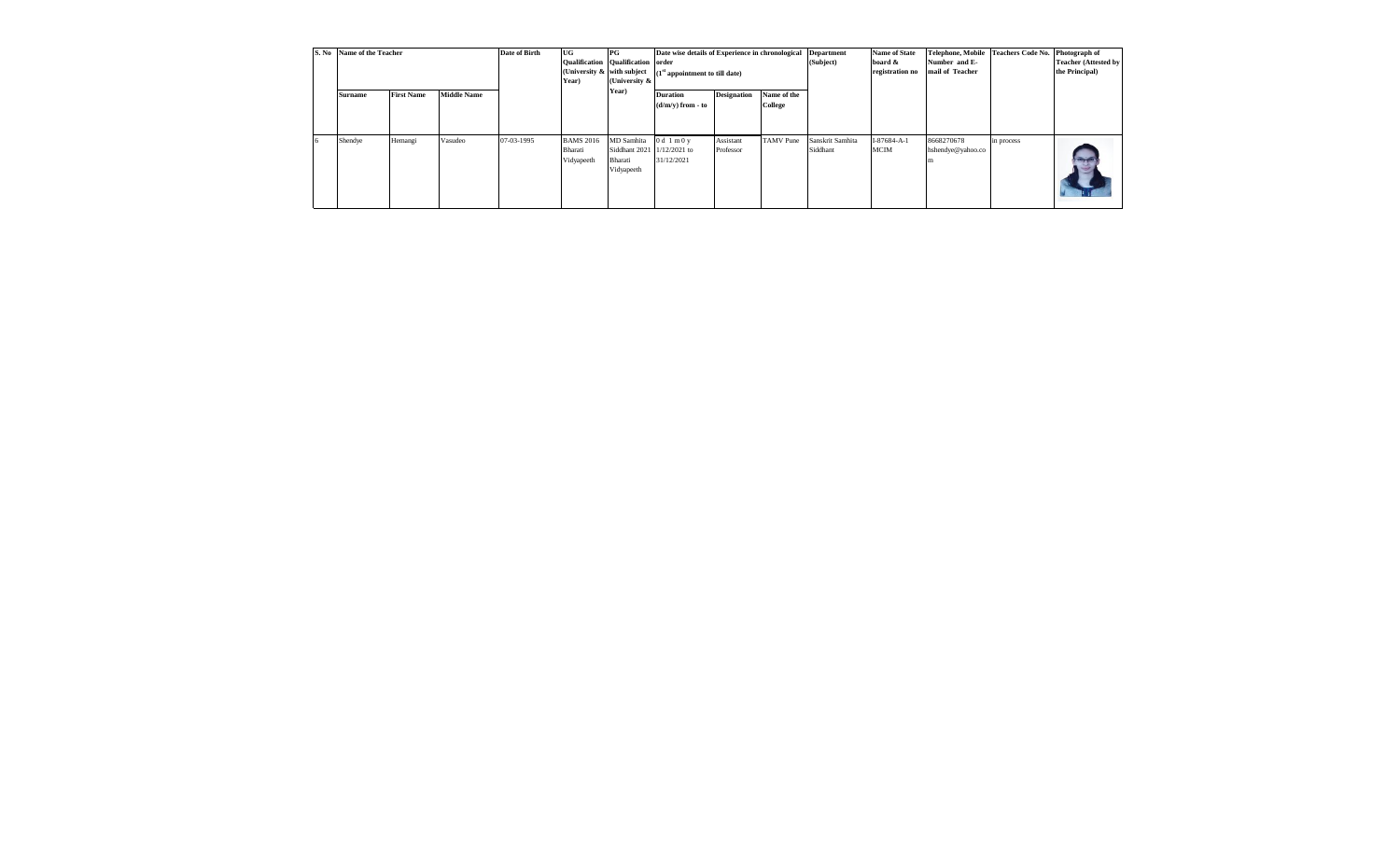|  | S. No Name of the Teacher |                   |                    | Date of Birth | UG<br>Year)                               | $_{\rm PG}$<br>Qualification Qualification order<br>(University & | Date wise details of Experience in chronological<br>(University & with subject $(1st$ appointment to till date)         |           |  | <b>Department</b><br>(Subject) | <b>Name of State</b><br>board &<br>registration no | Telephone, Mobile Teachers Code No. Photograph of<br>Number and E-<br>mail of Teacher |            | <b>Teacher (Attested by</b><br>the Principal) |
|--|---------------------------|-------------------|--------------------|---------------|-------------------------------------------|-------------------------------------------------------------------|-------------------------------------------------------------------------------------------------------------------------|-----------|--|--------------------------------|----------------------------------------------------|---------------------------------------------------------------------------------------|------------|-----------------------------------------------|
|  | Surname                   | <b>First Name</b> | <b>Middle Name</b> |               |                                           | Year)                                                             | <b>Designation</b><br>Name of the<br><b>Duration</b><br>College<br>$(d/m/v)$ from - to<br>Assistant<br><b>TAMV</b> Pune |           |  |                                |                                                    |                                                                                       |            |                                               |
|  | Shendye                   | Hemangi           | Vasudeo            | 07-03-1995    | <b>BAMS 2016</b><br>Bharati<br>Vidyapeeth | MD Samhita<br>Siddhant 2021 1/12/2021 to<br>Bharati<br>Vidyapeeth | 0d1m0y<br>31/12/2021                                                                                                    | Professor |  | Sanskrit Samhita<br>Siddhant   | I-87684-A-1<br><b>MCIM</b>                         | 8668270678<br>hshendye@yahoo.co                                                       | in process |                                               |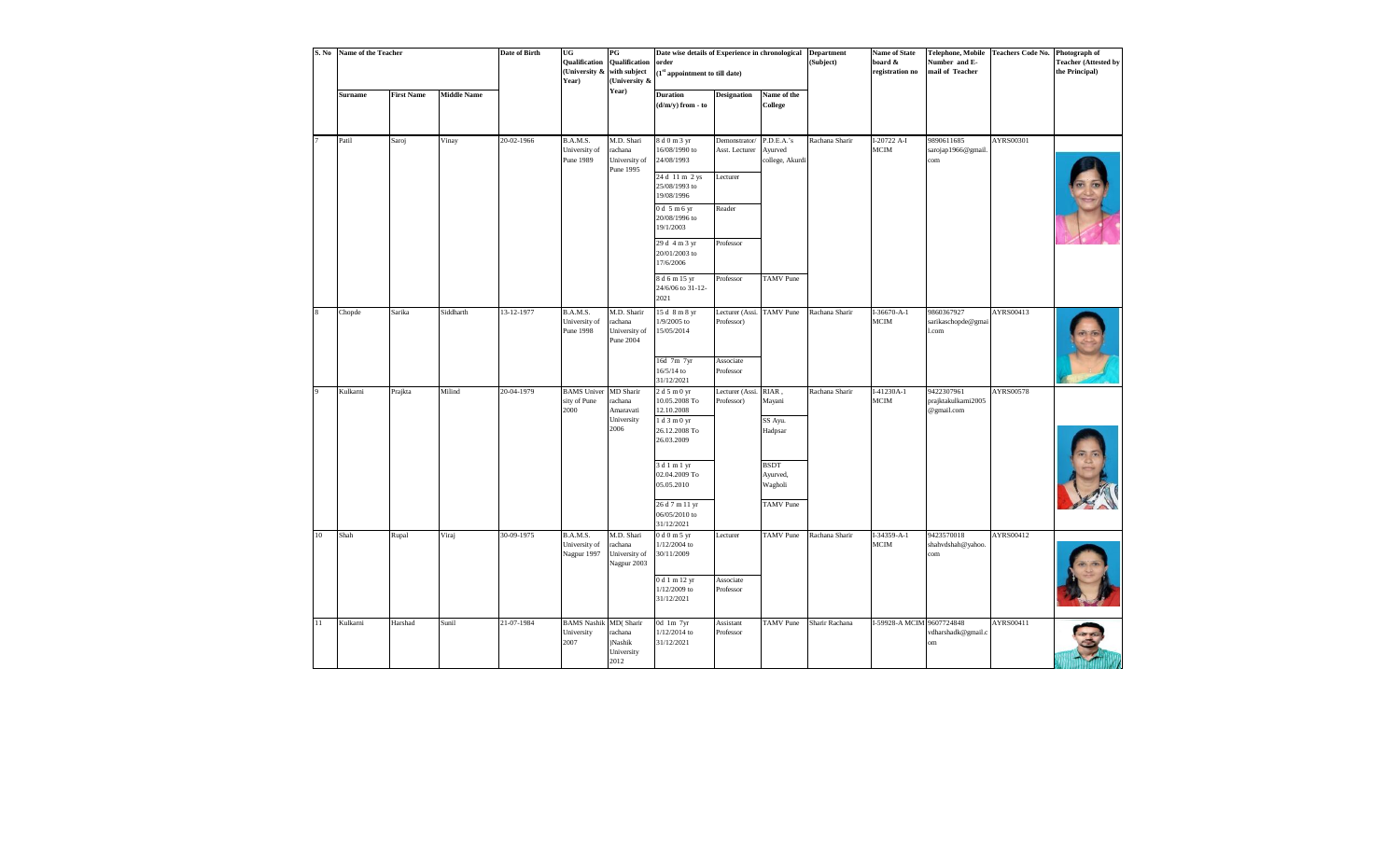|                         | S. No Name of the Teacher |                   |                    | <b>Date of Birth</b> | UG<br>Qualification<br>(University & with subject<br>Year) | $_{\rm PG}$<br>Qualification<br>(University &         | Date wise details of Experience in chronological Department<br>order<br>(1st appointment to till date)                                                                                     |                                                                    |                                                                                                 | (Subject)      | <b>Name of State</b><br>board &<br>registration no | <b>Telephone, Mobile</b><br>Number and E-<br>mail of Teacher | Teachers Code No. Photograph of | <b>Teacher (Attested by</b><br>the Principal) |
|-------------------------|---------------------------|-------------------|--------------------|----------------------|------------------------------------------------------------|-------------------------------------------------------|--------------------------------------------------------------------------------------------------------------------------------------------------------------------------------------------|--------------------------------------------------------------------|-------------------------------------------------------------------------------------------------|----------------|----------------------------------------------------|--------------------------------------------------------------|---------------------------------|-----------------------------------------------|
|                         | <b>Surname</b>            | <b>First Name</b> | <b>Middle Name</b> |                      |                                                            | Year)                                                 | <b>Duration</b><br>$(d/m/y)$ from - to                                                                                                                                                     | <b>Designation</b>                                                 | Name of the<br>College                                                                          |                |                                                    |                                                              |                                 |                                               |
|                         | Patil                     | Saroj             | Vinay              | 20-02-1966           | B.A.M.S.<br>University of<br>Pune 1989                     | M.D. Shari<br>rachana<br>University of<br>Pune 1995   | 8 d 0 m 3 yr<br>16/08/1990 to<br>24/08/1993<br>24 d 11 m 2 ys<br>25/08/1993 to<br>19/08/1996<br>$0d$ 5 m 6 yr<br>20/08/1996 to<br>19/1/2003<br>29 d 4 m 3 yr<br>20/01/2003 to<br>17/6/2006 | Demonstrator/<br>Asst. Lecturer<br>Lecturer<br>Reader<br>Professor | P.D.E.A.'s<br>Ayurved<br>college, Akurdi                                                        | Rachana Sharir | I-20722 A-I<br><b>MCIM</b>                         | 9890611685<br>sarojap1966@gmail<br>com                       | AYRS00301                       |                                               |
|                         |                           |                   |                    |                      |                                                            |                                                       | 8 d 6 m 15 yr<br>24/6/06 to 31-12-<br>2021                                                                                                                                                 | Professor                                                          | <b>TAMV</b> Pune                                                                                |                |                                                    |                                                              |                                 |                                               |
| $\overline{\mathbf{8}}$ | Chopde                    | Sarika            | Siddharth          | 13-12-1977           | B.A.M.S.<br>University of<br>Pune 1998                     | M.D. Sharir<br>rachana<br>University of<br>Pune 2004  | 15 d 8 m 8 yr<br>1/9/2005 to<br>15/05/2014<br>16d 7m 7yr<br>16/5/14 to<br>31/12/2021                                                                                                       | Lecturer (Assi. TAMV Pune<br>Professor)<br>Associate<br>Professor  |                                                                                                 | Rachana Sharir | $I-36670 - A-1$<br>$MCIM$                          | 9860367927<br>sarikaschopde@gmai<br>l.com                    | AYRS00413                       |                                               |
|                         | Kulkarni                  | Prajkta           | Milind             | 20-04-1979           | <b>BAMS</b> Univer MD Sharir<br>sity of Pune<br>2000       | rachana<br>Amaravati<br>University<br>2006            | 2 d 5 m 0 yr<br>10.05.2008 To<br>12.10.2008<br>1 d 3 m 0 yr<br>26.12.2008 To<br>26.03.2009<br>$3d1m1$ yr<br>02.04.2009 To<br>05.05.2010<br>26 d 7 m 11 yr<br>06/05/2010 to                 | Lecturer (Assi.<br>Professor)                                      | RIAR,<br>Mayani<br>SS Ayu.<br>Hadpsar<br><b>BSDT</b><br>Ayurved,<br>Wagholi<br><b>TAMV</b> Pune | Rachana Sharir | $I-41230A-1$<br>MCIM                               | 9422307961<br>prajktakulkarni2005<br>@gmail.com              | AYRS00578                       |                                               |
| 10                      | Shah                      | Rupal             | Viraj              | 30-09-1975           | B.A.M.S.<br>University of<br>Nagpur 1997                   | M.D. Shari<br>rachana<br>University of<br>Nagpur 2003 | 31/12/2021<br>0 d 0 m 5 yr<br>1/12/2004 to<br>30/11/2009<br>0 d 1 m 12 yr<br>1/12/2009 to<br>31/12/2021                                                                                    | Lecturer<br>Associate<br>Professor                                 | <b>TAMV</b> Pune                                                                                | Rachana Sharir | $I-34359 - A-1$<br>$_{\rm MCM}$                    | 9423570018<br>shahvdshah@yahoo.<br>com                       | AYRS00412                       |                                               |
| 11                      | Kulkarni                  | Harshad           | Sunil              | 21-07-1984           | <b>BAMS</b> Nashik<br>University<br>2007                   | MD(Sharir<br>rachana<br>)Nashik<br>University<br>2012 | 0d 1m 7yr<br>1/12/2014 to<br>31/12/2021                                                                                                                                                    | Assistant<br>Professor                                             | <b>TAMV</b> Pune                                                                                | Sharir Rachana | I-59928-A MCIM 9607724848                          | vdharshadk@gmail.c<br>om                                     | AYRS00411                       |                                               |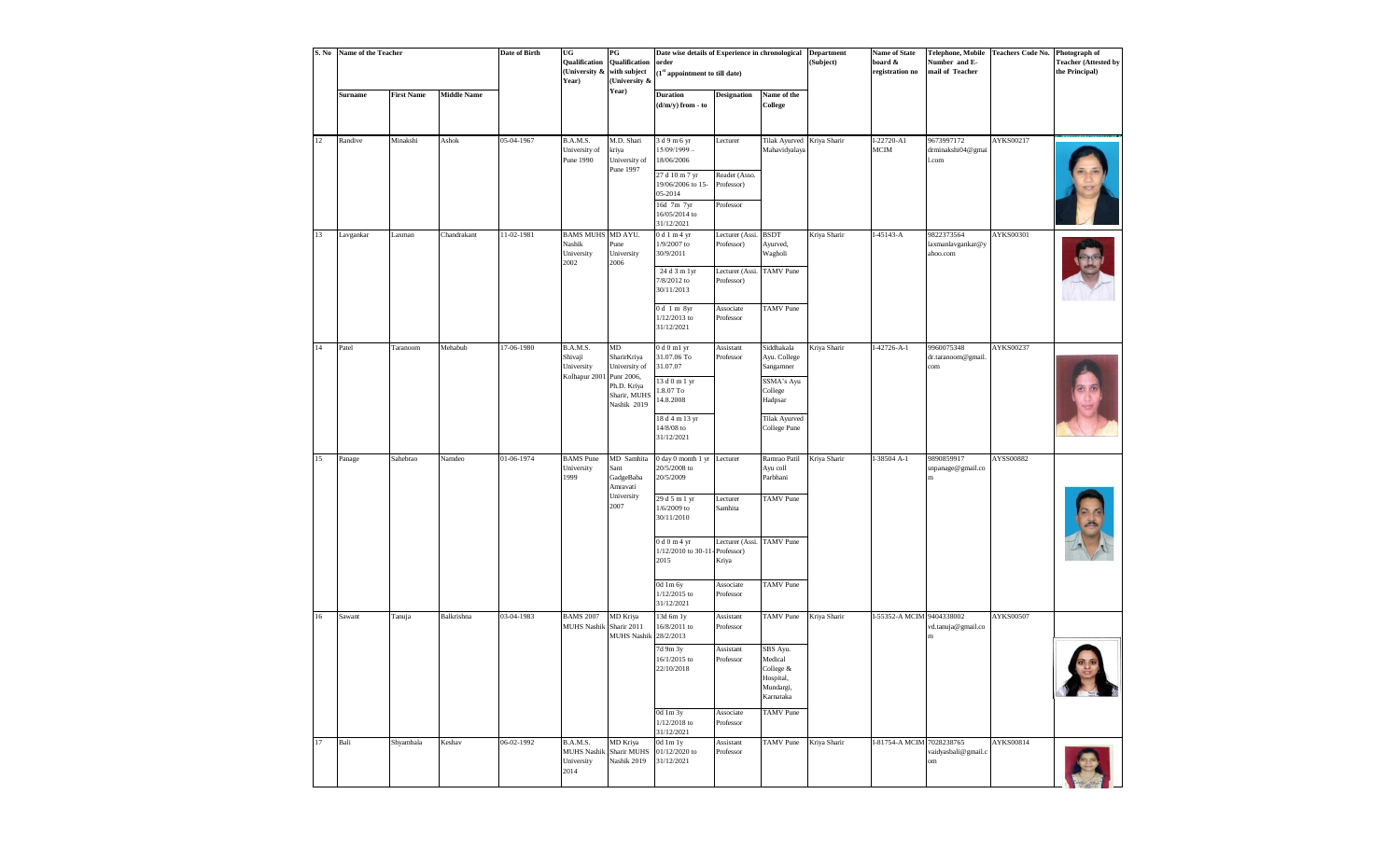| S. No | Name of the Teacher |                   |                    | Date of Birth | UG<br>Qualification<br>(University &<br>Year)            | $\mathbf{P}\mathbf{G}$<br>Qualification<br>with subject<br>(University &                       | Date wise details of Experience in chronological<br>order<br>$(\boldsymbol{1}^\text{st}$ appointment to till date)                                                               |                                                                                                   |                                                                                                                     | <b>Department</b><br>(Subject) | <b>Name of State</b><br>board &<br>registration no | Telephone, Mobile<br>Number and E-<br>mail of Teacher | <b>Teachers Code No.</b> | Photograph of<br><b>Teacher (Attested by</b><br>the Principal) |
|-------|---------------------|-------------------|--------------------|---------------|----------------------------------------------------------|------------------------------------------------------------------------------------------------|----------------------------------------------------------------------------------------------------------------------------------------------------------------------------------|---------------------------------------------------------------------------------------------------|---------------------------------------------------------------------------------------------------------------------|--------------------------------|----------------------------------------------------|-------------------------------------------------------|--------------------------|----------------------------------------------------------------|
|       | <b>Surname</b>      | <b>First Name</b> | <b>Middle Name</b> |               |                                                          | Year)                                                                                          | <b>Duration</b><br>$(d/m/y)$ from - to                                                                                                                                           | <b>Designation</b>                                                                                | Name of the<br>College                                                                                              |                                |                                                    |                                                       |                          |                                                                |
| 12    | Randive             | Minakshi          | Ashok              | 05-04-1967    | B.A.M.S.<br>University of<br>Pune 1990                   | M.D. Shari<br>kriya<br>University of<br>Pune 1997                                              | 3 d 9 m 6 yr<br>$15/09/1999 -$<br>18/06/2006<br>27 d 10 m 7 yr<br>19/06/2006 to 15-<br>05-2014<br>16d 7m 7yr<br>16/05/2014 to                                                    | Lecturer<br>Reader (Asso.<br>Professor)<br>Professor                                              | Tilak Ayurved Kriya Sharir<br>Mahavidyalaya                                                                         |                                | I-22720-A1<br>MCIM                                 | 9673997172<br>drminakshi04@gmai<br>.com               | AYKS00217                |                                                                |
| 13    | Lavgankar           | Laxman            | Chandrakant        | 11-02-1981    | <b>BAMS MUHS MD AYU.</b><br>Nashik<br>University<br>2002 | Pune<br>University<br>2006                                                                     | 31/12/2021<br>0 d 1 m 4 yr<br>1/9/2007 to<br>30/9/2011<br>24 d 3 m 1yr<br>7/8/2012 to<br>30/11/2013                                                                              | Lecturer (Assi. BSDT<br>Professor)<br>Lecturer (Assi.<br>Professor)                               | Ayurved,<br>Wagholi<br><b>TAMV</b> Pune                                                                             | Kriya Sharir                   | $I-45143 - A$                                      | 9822373564<br>laxmanlavgankar@y<br>ahoo.com           | <b>AYKS00301</b>         |                                                                |
|       |                     |                   |                    |               |                                                          |                                                                                                | 0 d 1 m 8yr<br>1/12/2013 to<br>31/12/2021                                                                                                                                        | Associate<br>Professor                                                                            | <b>TAMV</b> Pune                                                                                                    |                                |                                                    |                                                       |                          |                                                                |
| 14    | Patel               | Taranoom          | Mehabub            | 17-06-1980    | B.A.M.S.<br>Shivaji<br>University<br>Kolhapur 2001       | MD<br>SharirKriya<br>University of<br>Punr 2006,<br>Ph.D. Kriya<br>Sharir, MUHS<br>Nashik 2019 | $0d0ml$ yr<br>31.07.06 To<br>31.07.07<br>13 d 0 m 1 yr<br>1.8.07 To<br>14.8.2008<br>18 d 4 m 13 yr<br>14/8/08 to<br>31/12/2021                                                   | Assistant<br>Professor                                                                            | Siddhakala<br>Ayu. College<br>Sangamner<br>SSMA's Ayu<br>College<br>Hadpsar<br><b>Tilak Ayurved</b><br>College Pune | Kriya Sharir                   | $I-42726 - A-1$                                    | 9960075348<br>dr.taranoom@gmail.<br>com               | AYKS00237                |                                                                |
| 15    | Panage              | Sahebrao          | Namdeo             | 01-06-1974    | <b>BAMS</b> Pune<br>University<br>1999                   | MD Samhita<br>Sant<br>GadgeBaba<br>Amravati<br>University<br>2007                              | 0 day 0 month 1 yr Lecturer<br>20/5/2008 to<br>20/5/2009<br>29 d 5 m 1 yr<br>$1/6/2009$ to<br>30/11/2010<br>$0d0m4$ yr<br>1/12/2010 to 30-11<br>2015<br>0d 1m 6y<br>1/12/2015 to | Lecturer<br>Samhita<br>Lecturer (Assi. TAMV Pune<br>Professor)<br>Kriya<br>Associate<br>Professor | Ramrao Patil<br>Ayu coll<br>Parbhani<br><b>TAMV</b> Pune<br><b>TAMV</b> Pune                                        | Kriya Sharir                   | I-38504 A-1                                        | 9890859917<br>snpanage@gmail.co<br>m                  | AYSS00882                |                                                                |
| 16    | Sawant              | Tanuja            | Balkrishna         | 03-04-1983    | <b>BAMS 2007</b><br><b>MUHS Nashik</b>                   | MD Kriya<br>Sharir 2011<br><b>MUHS Nashil</b>                                                  | 31/12/2021<br>13d 6m 1y<br>16/8/2011 to<br>28/2/2013<br>7d 9m 3y<br>16/1/2015 to<br>22/10/2018<br>0d 1m 3y<br>1/12/2018 to<br>31/12/2021                                         | Assistant<br>Professor<br>Assistant<br>Professor<br>Associate<br>Professor                        | <b>TAMV</b> Pune<br>SBS Ayu.<br>Medical<br>College $\&$<br>Hospital,<br>Mundargi,<br>Karnataka<br><b>TAMV</b> Pune  | Kriya Sharir                   | I-55352-A MCIM 9404338002                          | vd.tanuja@gmail.co<br>$\mathbf m$                     | <b>AYKS00507</b>         |                                                                |
| 17    | Bali                | Shyambala         | Keshav             | 06-02-1992    | B.A.M.S.<br>University<br>2014                           | MD Kriya<br>MUHS Nashik Sharir MUHS<br>Nashik 2019                                             | 0d 1m 1y<br>01/12/2020 to<br>31/12/2021                                                                                                                                          | Assistant<br>Professor                                                                            | TAMV Pune                                                                                                           | Kriya Sharir                   | I-81754-A MCIM 7028238765                          | vaidyasbali@gmail.c<br>om                             | AYKS00814                |                                                                |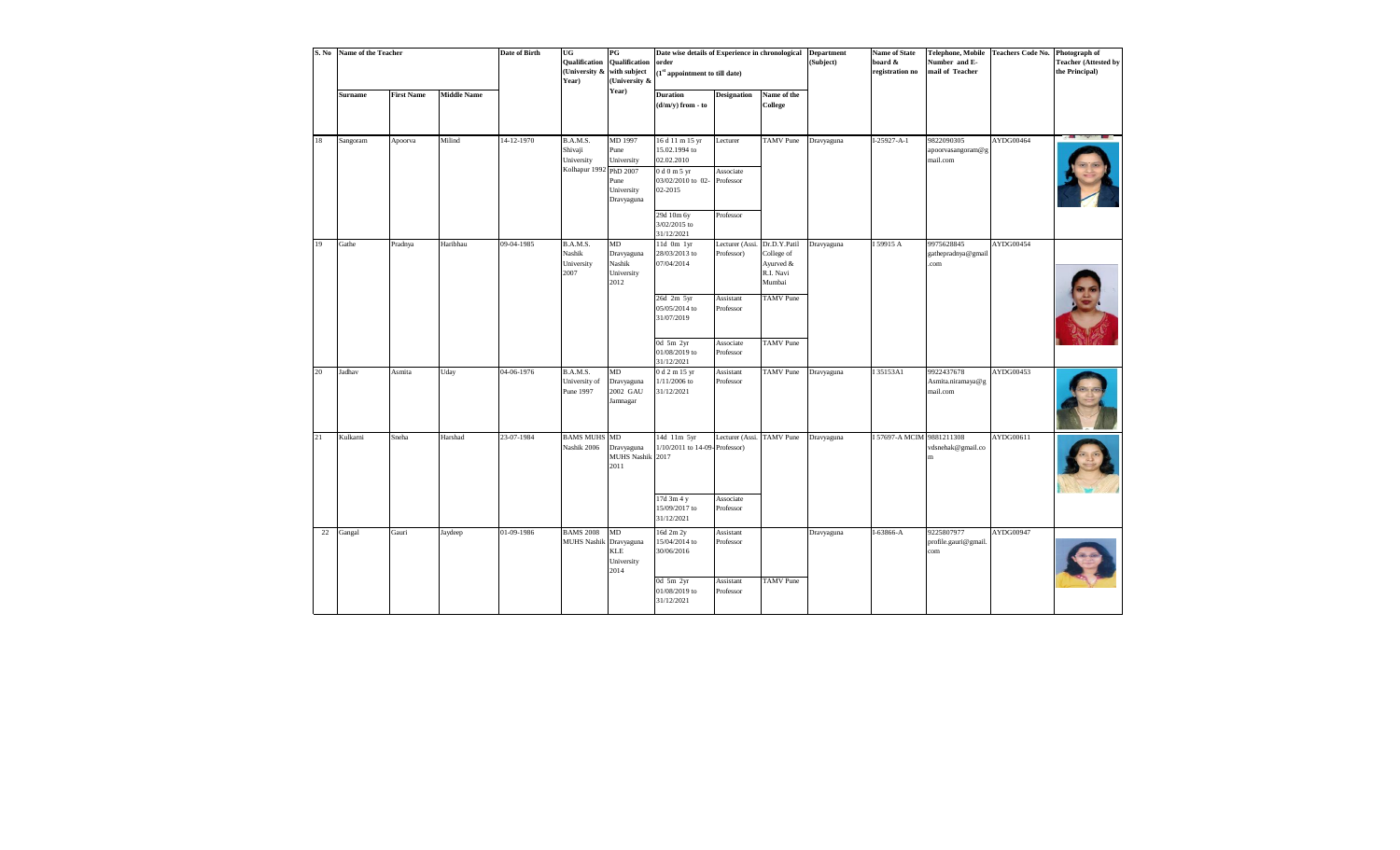| S. No | Name of the Teacher |                   |                    | <b>Date of Birth</b> | UG<br>Qualification<br>(University & with subject<br>Year)  | $_{\rm PG}$<br>Qualification<br>(University &                     | Date wise details of Experience in chronological<br>order<br>(1 <sup>st</sup> appointment to till date)  |                              |                                                                | <b>Department</b><br>(Subject) | <b>Name of State</b><br>board &<br>registration no | <b>Telephone, Mobile</b><br>Number and E-<br>mail of Teacher | Teachers Code No. Photograph of | <b>Teacher (Attested by</b><br>the Principal) |
|-------|---------------------|-------------------|--------------------|----------------------|-------------------------------------------------------------|-------------------------------------------------------------------|----------------------------------------------------------------------------------------------------------|------------------------------|----------------------------------------------------------------|--------------------------------|----------------------------------------------------|--------------------------------------------------------------|---------------------------------|-----------------------------------------------|
|       | <b>Surname</b>      | <b>First Name</b> | <b>Middle Name</b> |                      |                                                             | Year)                                                             | <b>Duration</b><br>$(d/m/y)$ from - to                                                                   | <b>Designation</b>           | Name of the<br>College                                         |                                |                                                    |                                                              |                                 |                                               |
| 18    | Sangoram            | Apoorva           | Milind             | 14-12-1970           | B.A.M.S.<br>Shivaji<br>University<br>Kolhapur 1992 PhD 2007 | MD 1997<br>Pune<br>University<br>Pune<br>University<br>Dravyaguna | 16 d 11 m 15 yr<br>15.02.1994 to<br>02.02.2010<br>0 d 0 m 5 yr<br>03/02/2010 to 02- Professor<br>02-2015 | Lecturer<br>Associate        | TAMV Pune                                                      | Dravyaguna                     | $I-25927 - A-1$                                    | 9822090305<br>apoorvasangoram@g<br>mail.com                  | AYDG00464                       |                                               |
|       |                     |                   |                    |                      |                                                             |                                                                   | 29d 10m 6y<br>3/02/2015 to<br>31/12/2021                                                                 | Professor                    |                                                                |                                |                                                    |                                                              |                                 |                                               |
| 19    | Gathe               | Pradnya           | Haribhau           | 09-04-1985           | B.A.M.S.<br>Nashik<br>University<br>2007                    | MD<br>Dravyaguna<br>Nashik<br>University<br>2012                  | 11d 0m 1yr<br>28/03/2013 to<br>07/04/2014                                                                | Lecturer (Assi<br>Professor) | Dr.D.Y.Patil<br>College of<br>Ayurved &<br>R.I. Navi<br>Mumbai | Dravyaguna                     | I 59915 A                                          | 9975628845<br>gathepradnya@gmail<br>.com                     | AYDG00454                       |                                               |
|       |                     |                   |                    |                      |                                                             |                                                                   | 26d 2m 5yr<br>05/05/2014 to<br>31/07/2019                                                                | Assistant<br>Professor       | <b>TAMV</b> Pune                                               |                                |                                                    |                                                              |                                 |                                               |
|       |                     |                   |                    |                      |                                                             |                                                                   | 0d 5m 2yr<br>01/08/2019 to<br>31/12/2021                                                                 | Associate<br>Professor       | <b>TAMV</b> Pune                                               |                                |                                                    |                                                              |                                 |                                               |
| 20    | Jadhav              | Asmita            | Uday               | 04-06-1976           | B.A.M.S.<br>University of<br>Pune 1997                      | MD<br>Dravyaguna<br>2002 GAU<br>Jamnagar                          | 0 d 2 m 15 yr<br>$1/11/2006$ to<br>31/12/2021                                                            | Assistant<br>Professor       | TAMV Pune                                                      | Dravyaguna                     | I 35153A1                                          | 9922437678<br>Asmita.niramaya@g<br>mail.com                  | AYDG00453                       |                                               |
| 21    | Kulkarni            | Sneha             | Harshad            | 23-07-1984           | <b>BAMS MUHS MD</b><br>Nashik 2006                          | Dravyaguna<br>MUHS Nashik 2017<br>2011                            | 14d 11m 5yr<br>1/10/2011 to 14-09-Professor)                                                             | Lecturer (Assi. TAMV Pune    |                                                                | Dravyaguna                     | I 57697-A MCIM 9881211308                          | vdsnehak@gmail.co                                            | AYDG00611                       |                                               |
|       |                     |                   |                    |                      |                                                             |                                                                   | 17d 3m 4 y<br>15/09/2017 to<br>31/12/2021                                                                | Associate<br>Professor       |                                                                |                                |                                                    |                                                              |                                 |                                               |
|       | 22 Gangal           | Gauri             | Jaydeep            | 01-09-1986           | <b>BAMS 2008</b><br><b>MUHS Nashik</b>                      | $\rm MD$<br>Dravyaguna<br>KLE<br>University<br>2014               | 16d 2m 2y<br>15/04/2014 to<br>30/06/2016                                                                 | Assistant<br>Professor       |                                                                | Dravyaguna                     | $I-63866 - A$                                      | 9225807977<br>profile.gauri@gmail.<br>com                    | $\overline{\mathrm{AYDG}00947}$ |                                               |
|       |                     |                   |                    |                      |                                                             |                                                                   | 0d 5m 2yr<br>01/08/2019 to<br>31/12/2021                                                                 | Assistant<br>Professor       | <b>TAMV</b> Pune                                               |                                |                                                    |                                                              |                                 |                                               |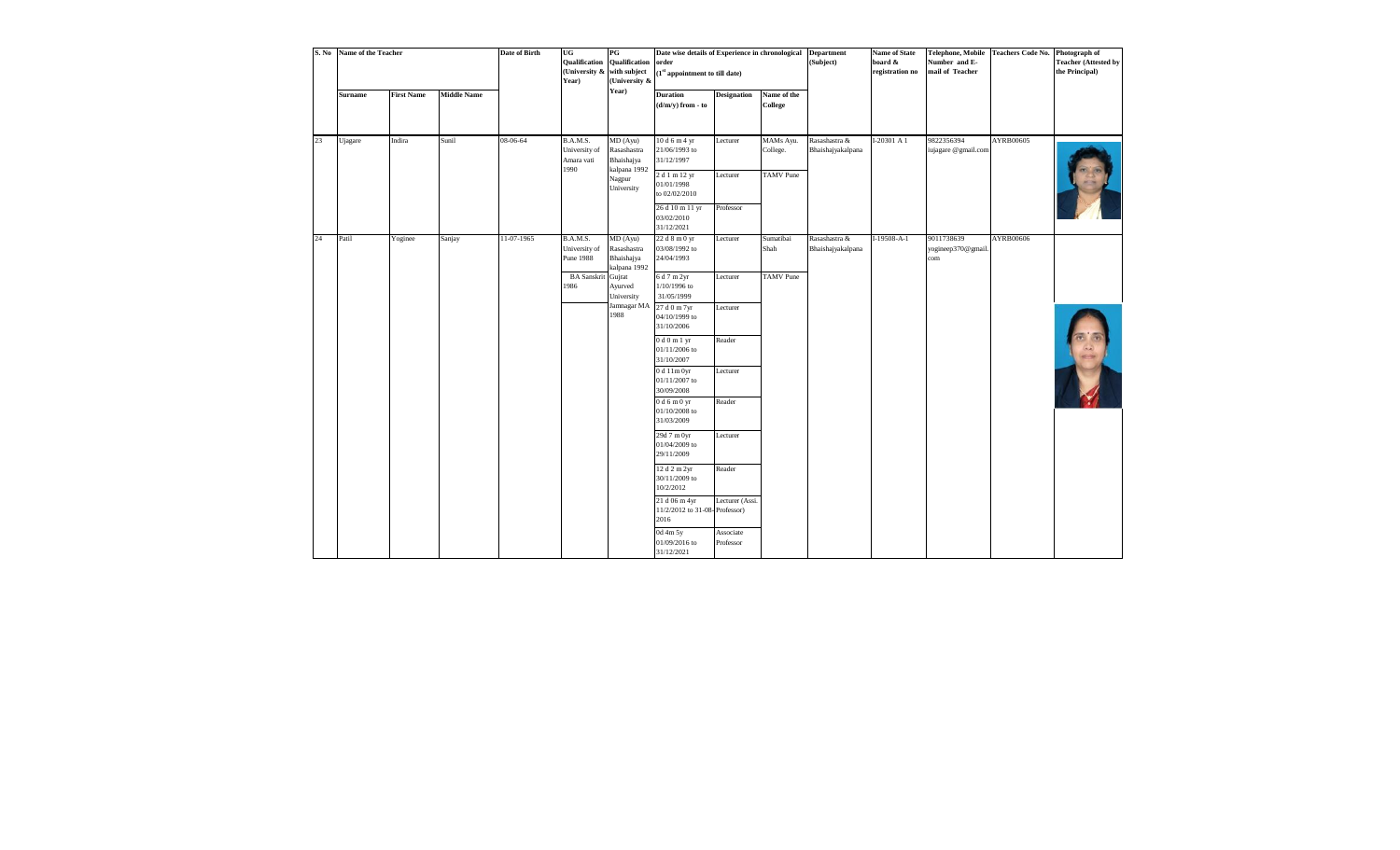| S. No | <b>Name of the Teacher</b> |                   |                    | <b>Date of Birth</b> | UG<br><b>Qualification</b><br>(University &<br>Year) | $_{\rm PG}$<br><b>Qualification</b><br>with subject<br>(University & | Date wise details of Experience in chronological<br>order<br>$\left(1^{\text{st}}\right.$ appointment to till date) |                              |                                           | <b>Department</b><br>(Subject)     | <b>Name of State</b><br>board &<br>registration no | Telephone, Mobile<br>Number and E-<br>mail of Teacher | <b>Teachers Code No.</b> | Photograph of<br><b>Teacher (Attested by</b><br>the Principal) |
|-------|----------------------------|-------------------|--------------------|----------------------|------------------------------------------------------|----------------------------------------------------------------------|---------------------------------------------------------------------------------------------------------------------|------------------------------|-------------------------------------------|------------------------------------|----------------------------------------------------|-------------------------------------------------------|--------------------------|----------------------------------------------------------------|
|       | <b>Surname</b>             | <b>First Name</b> | <b>Middle Name</b> |                      |                                                      | Year)                                                                | <b>Duration</b><br>$(d/m/y)$ from - to                                                                              | <b>Designation</b>           | Name of the<br><b>College</b>             |                                    |                                                    |                                                       |                          |                                                                |
| 23    | Ujagare                    | Indira            | Sunil              | 08-06-64             | B.A.M.S.<br>University of<br>Amara vati<br>1990      | MD (Ayu)<br>Rasashastra<br>Bhaishajya<br>kalpana 1992<br>Nagpur      | 10 d 6 m 4 yr<br>21/06/1993 to<br>31/12/1997<br>2 d 1 m 12 yr                                                       | Lecturer<br>Lecturer         | MAMs Ayu.<br>College.<br><b>TAMV</b> Pune | Rasashastra &<br>Bhaishajyakalpana | I-20301 A 1                                        | 9822356394<br>iujagare @gmail.com                     | AYRB00605                |                                                                |
|       |                            |                   |                    |                      |                                                      | University                                                           | 01/01/1998<br>to 02/02/2010<br>26 d 10 m 11 yr<br>03/02/2010<br>31/12/2021                                          | Professor                    |                                           |                                    |                                                    |                                                       |                          |                                                                |
| 24    | Patil                      | Yoginee           | Sanjay             | 11-07-1965           | B.A.M.S.<br>University of<br><b>Pune 1988</b>        | MD (Ayu)<br>Rasashastra<br>Bhaishajya<br>kalpana 1992                | 22 d 8 m 0 yr<br>03/08/1992 to<br>24/04/1993                                                                        | Lecturer                     | Sumatibai<br>Shah                         | Rasashastra &<br>Bhaishajyakalpana | $I-19508-A-1$                                      | 9011738639<br>yogineep370@gmail.<br>com               | AYRB00606                |                                                                |
|       |                            |                   |                    |                      | <b>BA</b> Sanskrit<br>1986                           | Gujrat<br>Ayurved<br>University<br>Jamnagar MA                       | 6 d 7 m 2yr<br>$1/10/1996\ {\rm to}\  \,$<br>31/05/1999<br>27 d 0 m 7yr                                             | Lecturer<br>Lecturer         | <b>TAMV</b> Pune                          |                                    |                                                    |                                                       |                          |                                                                |
|       |                            |                   |                    |                      |                                                      | 1988                                                                 | 04/10/1999 to<br>31/10/2006<br>0 d 0 m 1 yr                                                                         | Reader                       |                                           |                                    |                                                    |                                                       |                          |                                                                |
|       |                            |                   |                    |                      |                                                      |                                                                      | 01/11/2006 to<br>31/10/2007<br>0d11m0yr                                                                             | Lecturer                     |                                           |                                    |                                                    |                                                       |                          |                                                                |
|       |                            |                   |                    |                      |                                                      |                                                                      | 01/11/2007 to<br>30/09/2008<br>0d6m0yr<br>01/10/2008 to                                                             | Reader                       |                                           |                                    |                                                    |                                                       |                          |                                                                |
|       |                            |                   |                    |                      |                                                      |                                                                      | 31/03/2009<br>29d 7 m 0yr<br>01/04/2009 to<br>29/11/2009                                                            | Lecturer                     |                                           |                                    |                                                    |                                                       |                          |                                                                |
|       |                            |                   |                    |                      |                                                      |                                                                      | 12 d 2 m 2yr<br>30/11/2009 to<br>10/2/2012                                                                          | Reader                       |                                           |                                    |                                                    |                                                       |                          |                                                                |
|       |                            |                   |                    |                      |                                                      |                                                                      | 21 d 06 m 4yr<br>11/2/2012 to 31-08-Professor)<br>2016<br>0d 4m 5y                                                  | Lecturer (Assi.<br>Associate |                                           |                                    |                                                    |                                                       |                          |                                                                |
|       |                            |                   |                    |                      |                                                      |                                                                      | 01/09/2016 to<br>31/12/2021                                                                                         | Professor                    |                                           |                                    |                                                    |                                                       |                          |                                                                |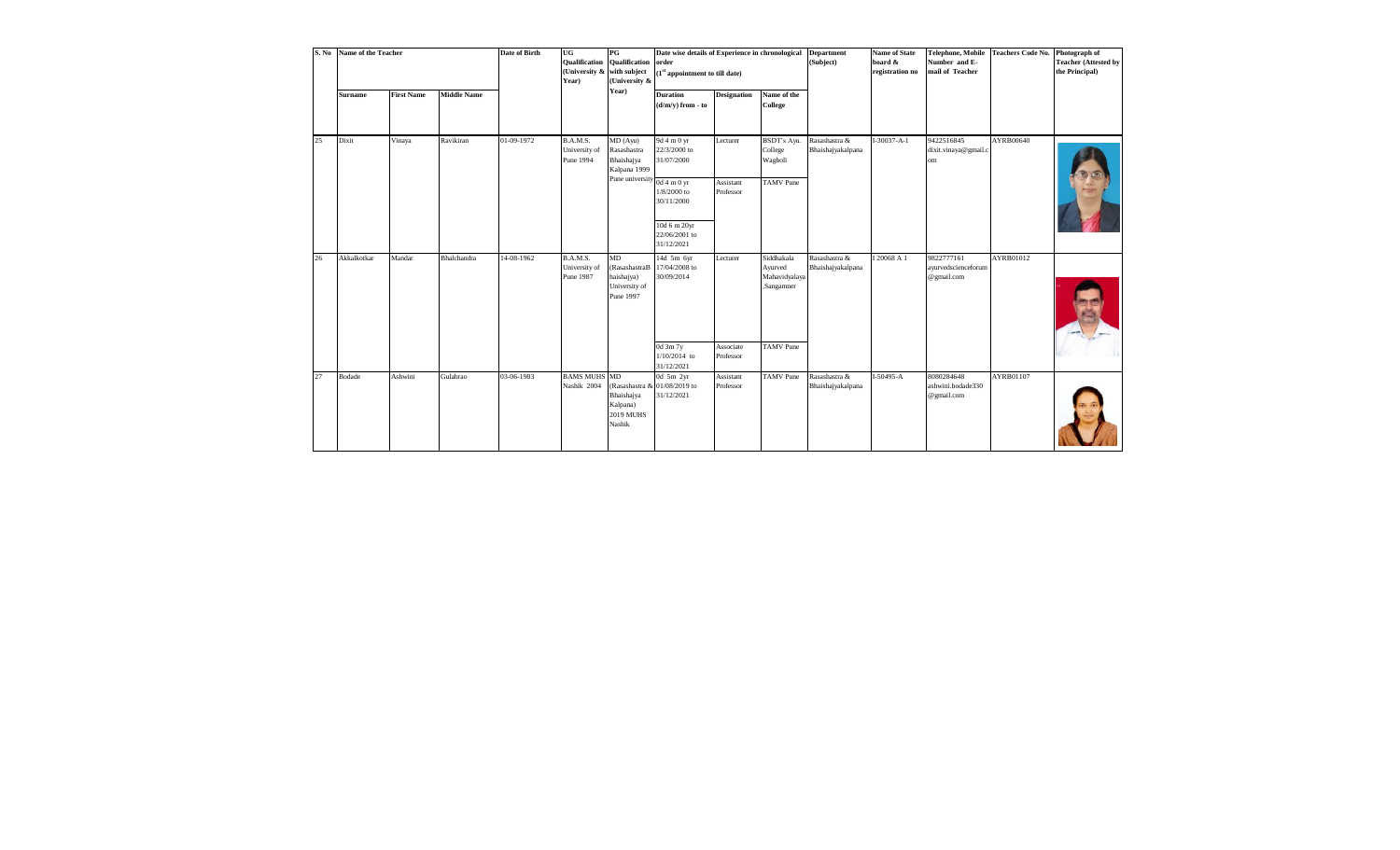| S. No | Name of the Teacher |                   |                    | Date of Birth | UG<br><b>Qualification</b><br>(University & with subject<br>Year) | $_{PG}$<br><b>Qualification</b><br>(University &                | Date wise details of Experience in chronological<br>order<br>(1 <sup>st</sup> appointment to till date) |                        |                                                      | <b>Department</b><br>(Subject)     | <b>Name of State</b><br>board &<br>registration no | <b>Telephone, Mobile</b><br>Number and E-<br>mail of Teacher | <b>Teachers Code No.</b> | Photograph of<br><b>Teacher (Attested by</b><br>the Principal) |
|-------|---------------------|-------------------|--------------------|---------------|-------------------------------------------------------------------|-----------------------------------------------------------------|---------------------------------------------------------------------------------------------------------|------------------------|------------------------------------------------------|------------------------------------|----------------------------------------------------|--------------------------------------------------------------|--------------------------|----------------------------------------------------------------|
|       | <b>Surname</b>      | <b>First Name</b> | <b>Middle Name</b> |               |                                                                   | Year)                                                           | <b>Duration</b><br>$(d/m/v)$ from - to                                                                  | <b>Designation</b>     | Name of the<br>College                               |                                    |                                                    |                                                              |                          |                                                                |
| 25    | Dixit               | Vinaya            | Ravikiran          | 01-09-1972    | <b>B.A.M.S.</b><br>University of<br>Pune 1994                     | MD (Ayu)<br>Rasashastra<br>Bhaishajya<br>Kalpana 1999           | 9d 4 m 0 yr<br>22/3/2000 to<br>31/07/2000                                                               | Lecturer               | BSDT's Ayu.<br>College<br>Wagholi                    | Rasashastra &<br>Bhaishajyakalpana | $I-30037 - A-1$                                    | 9422516845<br>dixit.vinaya@gmail.c<br>om                     | AYRB00640                |                                                                |
|       |                     |                   |                    |               |                                                                   | Pune university $\frac{1}{0}$ at m 0 yr                         | $1/8/2000$ to<br>30/11/2000                                                                             | Assistant<br>Professor | <b>TAMV</b> Pune                                     |                                    |                                                    |                                                              |                          |                                                                |
|       |                     |                   |                    |               |                                                                   |                                                                 | 10d 6 m 20yr<br>22/06/2001 to<br>31/12/2021                                                             |                        |                                                      |                                    |                                                    |                                                              |                          |                                                                |
| 26    | Akkalkotkar         | Mandar            | Bhalchandra        | 14-08-1962    | <b>B.A.M.S.</b><br>University of<br>Pune 1987                     | MD<br>(RasashastraB<br>haishajya)<br>University of<br>Pune 1997 | 14d 5m 6yr<br>17/04/2008 to<br>30/09/2014                                                               | Lecturer               | Siddhakala<br>Ayurved<br>Mahavidyalaya<br>,Sangamner | Rasashastra &<br>Bhaishajyakalpana | I 20068 A 1                                        | 9822777161<br>ayurvedscienceforum<br>@gmail.com              | AYRB01012                |                                                                |
|       |                     |                   |                    |               |                                                                   |                                                                 | 0d 3m 7y<br>$1/10/2014$ to<br>31/12/2021                                                                | Associate<br>Professor | <b>TAMV</b> Pune                                     |                                    |                                                    |                                                              |                          |                                                                |
| 27    | Bodade              | Ashwini           | Gulabrao           | 03-06-1983    | <b>BAMS MUHS MD</b><br>Nashik 2004                                | Bhaishajya<br>Kalpana)<br><b>2019 MUHS</b><br>Nashik            | 0d 5m 2yr<br>(Rasashastra & 01/08/2019 to<br>31/12/2021                                                 | Assistant<br>Professor | <b>TAMV</b> Pune                                     | Rasashastra &<br>Bhaishajyakalpana | $I-50495-A$                                        | 8080284648<br>ashwini.bodade330<br>@gmail.com                | AYRB01107                |                                                                |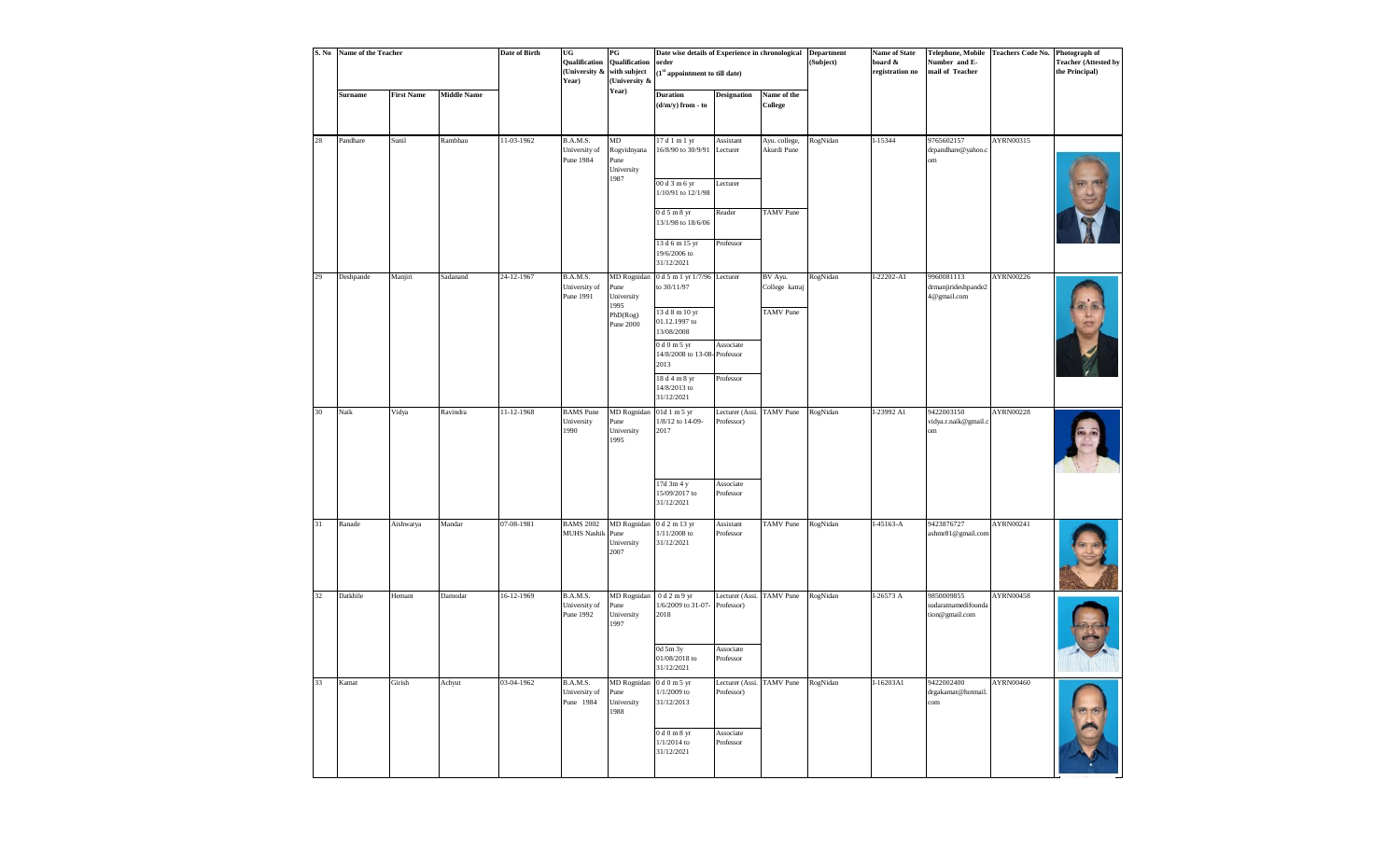| S. No  | Name of the Teacher |                   |                    | Date of Birth | UG<br>Qualification<br>(University &<br>Year) | $\mathbf{P}\mathbf{G}$<br>Qualification<br>with subject<br>(University & | Date wise details of Experience in chronological<br>order<br>(1st appointment to till date) |                                         |                               | <b>Department</b><br>(Subject) | <b>Name of State</b><br>board &<br>registration no | Number and E-<br>mail of Teacher                    | Telephone, Mobile   Teachers Code No.   Photograph of | <b>Teacher (Attested by</b><br>the Principal) |
|--------|---------------------|-------------------|--------------------|---------------|-----------------------------------------------|--------------------------------------------------------------------------|---------------------------------------------------------------------------------------------|-----------------------------------------|-------------------------------|--------------------------------|----------------------------------------------------|-----------------------------------------------------|-------------------------------------------------------|-----------------------------------------------|
|        | <b>Surname</b>      | <b>First Name</b> | <b>Middle Name</b> |               |                                               | Year)                                                                    | <b>Duration</b><br>$(d/m/y)$ from - to                                                      | <b>Designation</b>                      | Name of the<br><b>College</b> |                                |                                                    |                                                     |                                                       |                                               |
| $28\,$ | Pandhare            | Sunil             | Rambhau            | 11-03-1962    | B.A.M.S.<br>University of<br>Pune 1984        | MD<br>Rogvidnyana<br>Pune<br>University                                  | 17 d 1 m 1 yr<br>16/8/90 to 30/9/91                                                         | Assistant<br>Lecturer                   | Ayu. college,<br>Akurdi Pune  | RogNidan                       | I-15344                                            | 9765602157<br>drpandhare@yahoo.c<br>om              | AYRN00315                                             |                                               |
|        |                     |                   |                    |               |                                               | 1987                                                                     | $00d3m6$ yr<br>1/10/91 to 12/1/98                                                           | Lecturer                                |                               |                                |                                                    |                                                     |                                                       |                                               |
|        |                     |                   |                    |               |                                               |                                                                          | 0 d 5 m 8 yr<br>13/1/98 to 18/6/06                                                          | Reader                                  | <b>TAMV</b> Pune              |                                |                                                    |                                                     |                                                       |                                               |
|        |                     |                   |                    |               |                                               |                                                                          | 13 d 6 m 15 yr<br>19/6/2006 to<br>31/12/2021                                                | Professor                               |                               |                                |                                                    |                                                     |                                                       |                                               |
| 29     | Deshpande           | Manjiri           | Sadanand           | 24-12-1967    | B.A.M.S.<br>University of<br>Pune 1991        | MD Rognidan<br>Pune<br>University                                        | 0 d 5 m 1 yr 1/7/96 Lecturer<br>to 30/11/97                                                 |                                         | BV Ayu.<br>College katraj     | RogNidan                       | $I-22202 - A1$                                     | 9960081113<br>drmanjirideshpande2<br>4@gmail.com    | AYRN00226                                             |                                               |
|        |                     |                   |                    |               |                                               | 1995<br>PhD(Rog)<br>Pune 2000                                            | 13 d 8 m 10 yr<br>01.12.1997 to<br>13/08/2008                                               |                                         | <b>TAMV</b> Pune              |                                |                                                    |                                                     |                                                       |                                               |
|        |                     |                   |                    |               |                                               |                                                                          | 0 d 0 m 5 yr<br>14/8/2008 to 13-08-Professor<br>2013                                        | Associate                               |                               |                                |                                                    |                                                     |                                                       |                                               |
|        |                     |                   |                    |               |                                               |                                                                          | 18 d 4 m 8 yr<br>14/8/2013 to<br>31/12/2021                                                 | Professor                               |                               |                                |                                                    |                                                     |                                                       |                                               |
| 30     | Naik                | Vidya             | Ravindra           | 11-12-1968    | <b>BAMS</b> Pune<br>University<br>1990        | MD Rognidan<br>Pune<br>University<br>1995                                | 01d 1 m 5 yr<br>1/8/12 to 14-09-<br>2017                                                    | Lecturer (Assi.<br>Professor)           | <b>TAMV</b> Pune              | RogNidan                       | I-23992 A1                                         | 9422003150<br>vidya.r.naik@gmail.c<br>om            | <b>AYRN00228</b>                                      |                                               |
|        |                     |                   |                    |               |                                               |                                                                          | 17d 3m 4 y<br>15/09/2017 to<br>31/12/2021                                                   | Associate<br>Professor                  |                               |                                |                                                    |                                                     |                                                       |                                               |
| 31     | Ranade              | Aishwarya         | Mandar             | 07-08-1981    | <b>BAMS 2002</b><br>MUHS Nashik Pune          | University<br>2007                                                       | MD Rognidan 0 d 2 m 13 yr<br>$1/11/2008$ to<br>31/12/2021                                   | Assistant<br>Professor                  | <b>TAMV</b> Pune              | RogNidan                       | $I-45163 - A$                                      | 9423876727<br>ashmr81@gmail.com                     | AYRN00241                                             |                                               |
| 32     | Datkhile            | Hemant            | Damodar            | 16-12-1969    | B.A.M.S.<br>University of<br>Pune 1992        | MD Rognidan $0 d2 m9 yr$<br>Pune<br>University<br>1997                   | 1/6/2009 to 31-07- Professor)<br>2018                                                       | Lecturer (Assi. TAMV Pune               |                               | RogNidan                       | I-26573 A                                          | 9850009855<br>sudaratnamedifounda<br>tion@gmail.com | AYRN00458                                             |                                               |
|        |                     |                   |                    |               |                                               |                                                                          | 0d 5m 3y<br>01/08/2018 to<br>31/12/2021                                                     | Associate<br>Professor                  |                               |                                |                                                    |                                                     |                                                       |                                               |
| 33     | Kamat               | Girish            | Achyut             | 03-04-1962    | B.A.M.S.<br>University of<br>Pune 1984        | MD Rognidan<br>Pune<br>University<br>1988                                | 0 d 0 m 5 yr<br>$1/1/2009$ to<br>31/12/2013                                                 | Lecturer (Assi. TAMV Pune<br>Professor) |                               | RogNidan                       | I-16203A1                                          | 9422002400<br>drgakamat@hotmail<br>com              | AYRN00460                                             |                                               |
|        |                     |                   |                    |               |                                               |                                                                          | 0 d 0 m 8 yr<br>$1/1/2014$ to<br>31/12/2021                                                 | Associate<br>Professor                  |                               |                                |                                                    |                                                     |                                                       |                                               |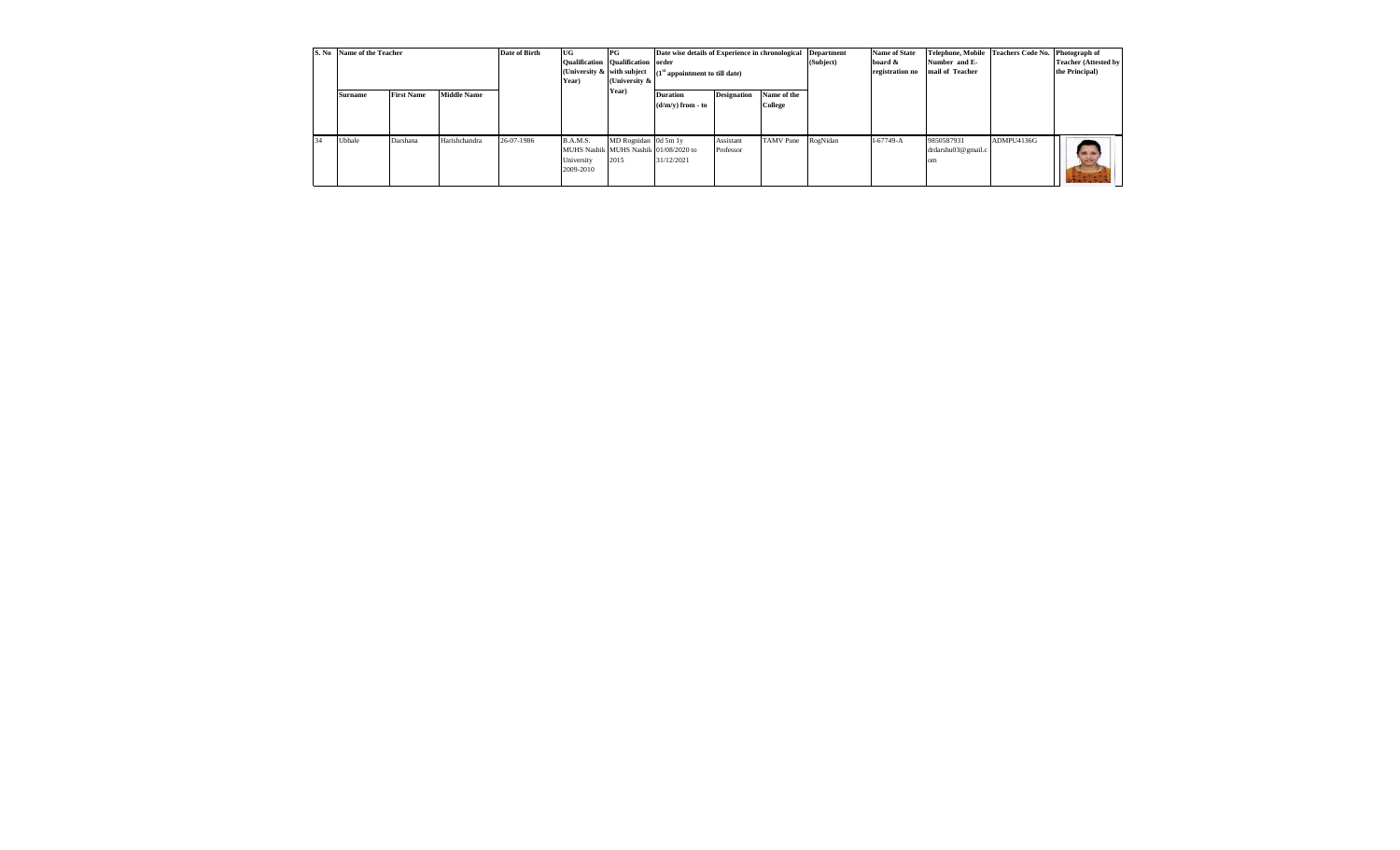|    | S. No Name of the Teacher |                   |                    | Date of Birth | UG<br><b>Qualification Qualification order</b><br>Year)                      | PG<br>(University &          | Date wise details of Experience in chronological<br>(University $\&$ with subject $(1st$ appointment to till date) |                                            |  | <b>Department</b><br>(Subject) | <b>Name of State</b><br>board &<br>registration no | <b>Telephone, Mobile</b><br>Number and E-<br>mail of Teacher | <b>Teachers Code No.</b> | Photograph of<br><b>Teacher (Attested by</b><br>the Principal) |
|----|---------------------------|-------------------|--------------------|---------------|------------------------------------------------------------------------------|------------------------------|--------------------------------------------------------------------------------------------------------------------|--------------------------------------------|--|--------------------------------|----------------------------------------------------|--------------------------------------------------------------|--------------------------|----------------------------------------------------------------|
|    | <b>Surname</b>            | <b>First Name</b> | <b>Middle Name</b> |               |                                                                              | Year)                        | <b>Designation</b><br>Name of the<br><b>Duration</b><br>College<br>$(d/m/v)$ from - to                             |                                            |  |                                |                                                    |                                                              |                          |                                                                |
| 34 | Ubhale                    | Darshana          | Harishchandra      | 26-07-1986    | B.A.M.S.<br>MUHS Nashik MUHS Nashik 01/08/2020 to<br>University<br>2009-2010 | MD Rognidan 0d 5m 1y<br>2015 | 31/12/2021                                                                                                         | Assistant<br><b>TAMV</b> Pune<br>Professor |  | RogNidan                       | $I-67749-A$                                        | 9850587931<br>drdarshu03@gmail.c<br>۱m                       | ADMPU4136G               | $\rightarrow$                                                  |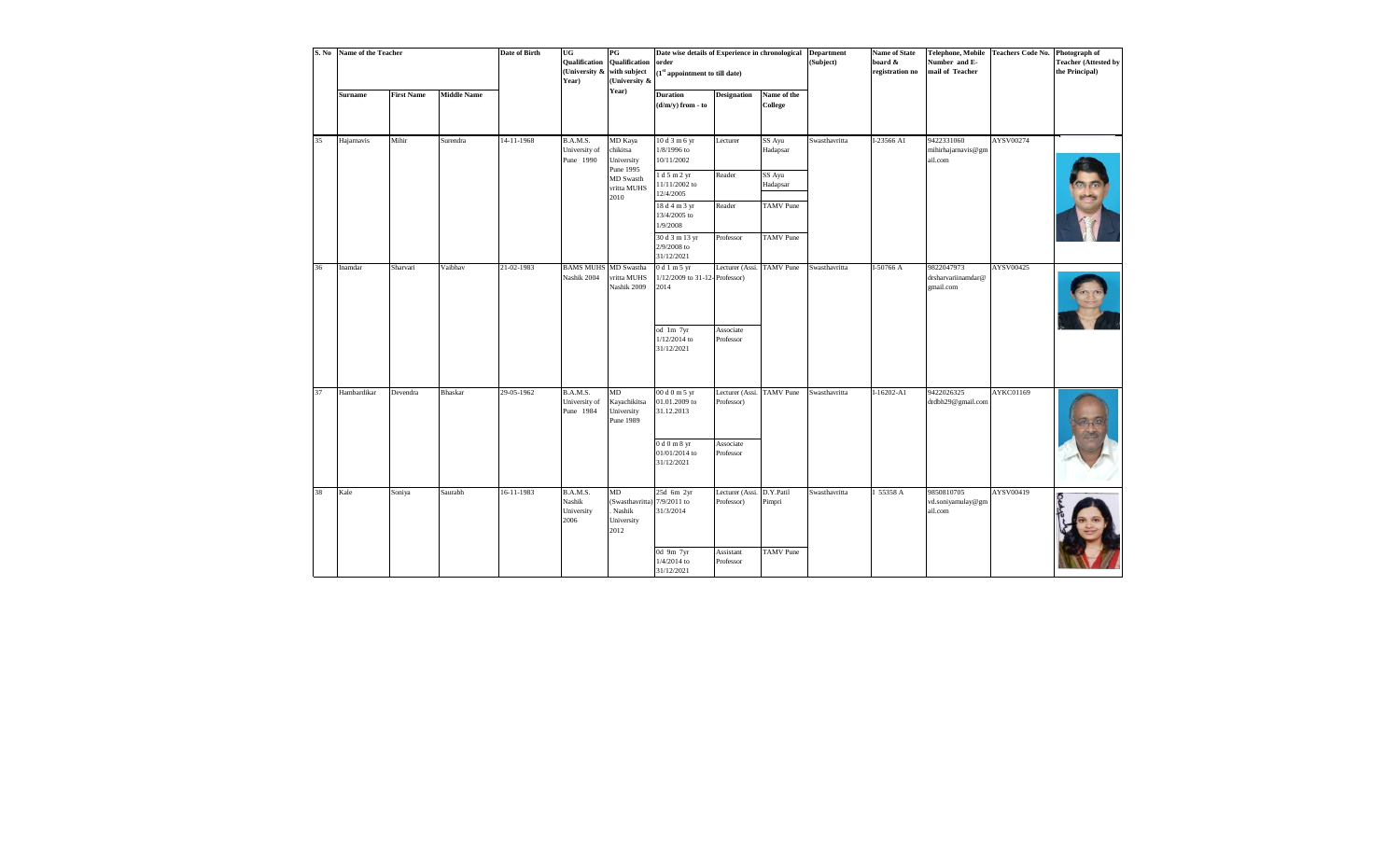| S. No | Name of the Teacher |                   |                    | Date of Birth | UG<br><b>Qualification</b><br>Year)      | PG<br>Qualification<br>(University & with subject<br>(University &                 | Date wise details of Experience in chronological<br>order<br>$(1st$ appointment to till date)                                                             |                                                                   |                                                                                  | <b>Department</b><br>(Subject) | <b>Name of State</b><br>board $\&$<br>registration no | Number and E-<br>mail of Teacher            | Telephone, Mobile Teachers Code No. | Photograph of<br><b>Teacher (Attested by</b><br>the Principal) |
|-------|---------------------|-------------------|--------------------|---------------|------------------------------------------|------------------------------------------------------------------------------------|-----------------------------------------------------------------------------------------------------------------------------------------------------------|-------------------------------------------------------------------|----------------------------------------------------------------------------------|--------------------------------|-------------------------------------------------------|---------------------------------------------|-------------------------------------|----------------------------------------------------------------|
|       | <b>Surname</b>      | <b>First Name</b> | <b>Middle Name</b> |               |                                          | Year)                                                                              | <b>Duration</b><br>$(d/m/y)$ from - to                                                                                                                    | <b>Designation</b>                                                | Name of the<br>College                                                           |                                |                                                       |                                             |                                     |                                                                |
| 35    | Hajarnavis          | Mihir             | Surendra           | 14-11-1968    | B.A.M.S.<br>University of<br>Pune 1990   | MD Kaya<br>chikitsa<br>University<br>Pune 1995<br>MD Swasth<br>vritta MUHS<br>2010 | 10 d 3 m 6 yr<br>$1/8/1996$ to<br>10/11/2002<br>1 d 5 m 2 yr<br>11/11/2002 to<br>12/4/2005<br>18 d 4 m 3 yr<br>13/4/2005 to<br>1/9/2008<br>30 d 3 m 13 yr | Lecturer<br>Reader<br>Reader<br>Professor                         | SS Ayu<br>Hadapsar<br>SS Ayu<br>Hadapsar<br><b>TAMV</b> Pune<br><b>TAMV</b> Pune | Swasthavritta                  | I-23566 A1                                            | 9422331060<br>mihirhajarnavis@gm<br>ail.com | AYSV00274                           |                                                                |
| 36    | Inamdar             | Sharvari          | Vaibhav            | 21-02-1983    | <b>BAMS MUHS</b>                         | MD Swastha                                                                         | $2/9/2008$ to<br>31/12/2021<br>0d1m5yr                                                                                                                    | Lecturer (Assi. TAMV Pune                                         |                                                                                  | Swasthavritta                  | I-50766 A                                             | 9822047973                                  | AYSV00425                           |                                                                |
|       |                     |                   |                    |               | Nashik 2004                              | vritta MUHS<br>Nashik 2009                                                         | 1/12/2009 to 31-12-Professor)<br>2014<br>od 1m 7yr<br>1/12/2014 to<br>31/12/2021                                                                          | Associate<br>Professor                                            |                                                                                  |                                |                                                       | drsharvariinamdar@<br>gmail.com             |                                     |                                                                |
| 37    | Hambardikar         | Devendra          | Bhaskar            | 29-05-1962    | B.A.M.S.<br>University of<br>Pune 1984   | MD<br>Kayachikitsa<br>University<br>Pune 1989                                      | 00 d 0 m 5 yr<br>01.01.2009 to<br>31.12.2013<br>0d0m8yr<br>01/01/2014 to<br>31/12/2021                                                                    | Lecturer (Assi. TAMV Pune<br>Professor)<br>Associate<br>Professor |                                                                                  | Swasthavritta                  | $I-16202 - A1$                                        | 9422026325<br>drdbh29@gmail.com             | AYKC01169                           |                                                                |
| 38    | Kale                | Soniya            | Saurabh            | 16-11-1983    | B.A.M.S.<br>Nashik<br>University<br>2006 | MD<br>(Swasthavritta)<br>Nashik<br>University<br>2012                              | 25d 6m 2yr<br>7/9/2011 to<br>31/3/2014<br>0d 9m 7yr<br>$1/4/2014$ to<br>31/12/2021                                                                        | Lecturer (Assi.<br>Professor)<br>Assistant<br>Professor           | D.Y.Patil<br>Pimpri<br><b>TAMV</b> Pune                                          | Swasthavritta                  | I 55358 A                                             | 9850810705<br>vd.soniyamulay@gm<br>ail.com  | AYSV00419                           |                                                                |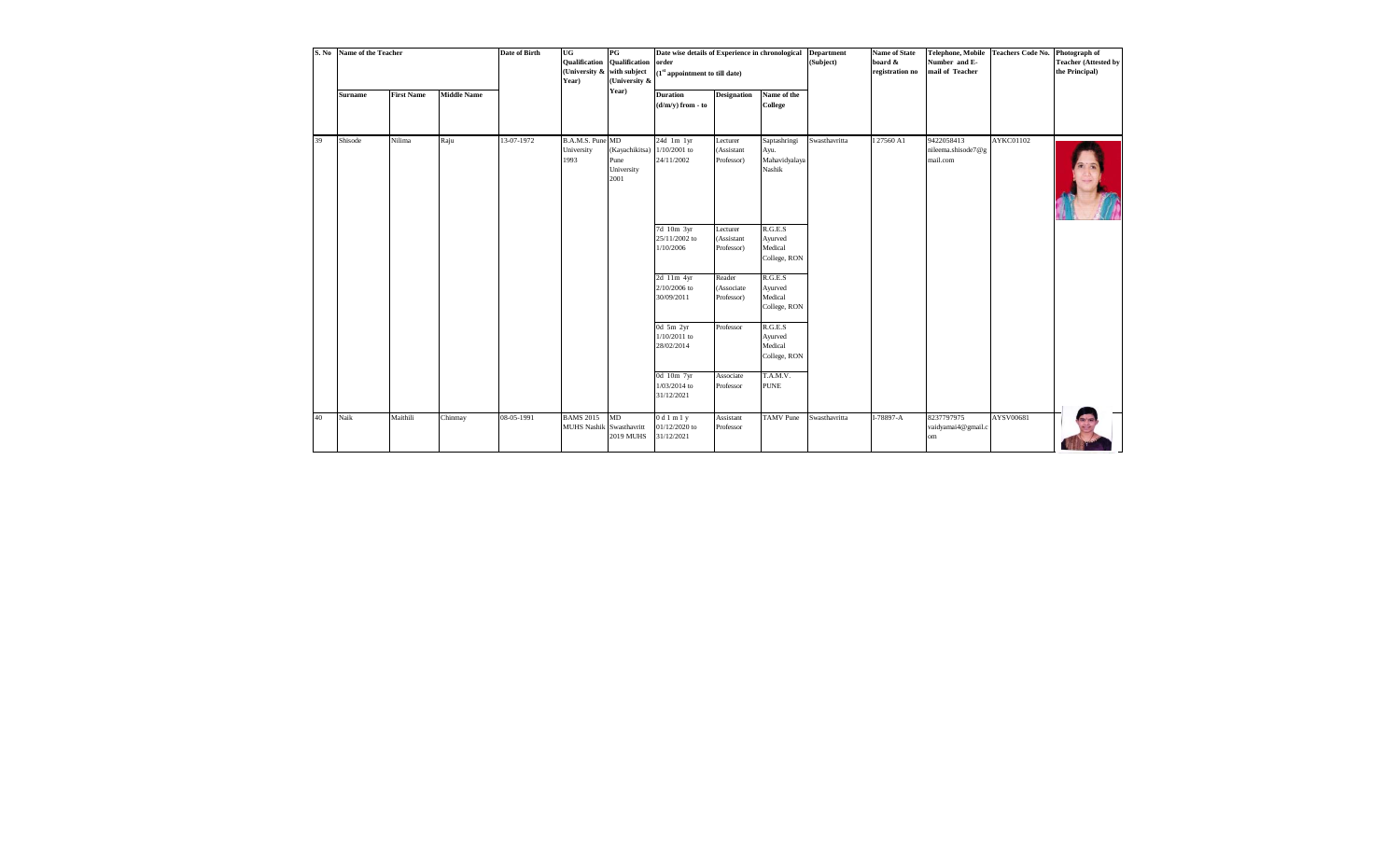| S. No | Name of the Teacher |                   |                    | <b>Date of Birth</b> | UG<br><b>Qualification Qualification</b><br>(University & with subject<br>Year) | PG<br>(University &                          | Date wise details of Experience in chronological<br>order<br>$(1st$ appointment to till date) |                                      |                                                 | <b>Department</b><br>(Subject) | <b>Name of State</b><br>board &<br>registration no | <b>Telephone, Mobile</b><br>Number and E-<br>mail of Teacher | <b>Teachers Code No.</b> | Photograph of<br><b>Teacher (Attested by</b><br>the Principal) |
|-------|---------------------|-------------------|--------------------|----------------------|---------------------------------------------------------------------------------|----------------------------------------------|-----------------------------------------------------------------------------------------------|--------------------------------------|-------------------------------------------------|--------------------------------|----------------------------------------------------|--------------------------------------------------------------|--------------------------|----------------------------------------------------------------|
|       | <b>Surname</b>      | <b>First Name</b> | <b>Middle Name</b> |                      |                                                                                 | Year)                                        | <b>Duration</b><br>$(d/m/y)$ from - to                                                        | <b>Designation</b>                   | Name of the<br>College                          |                                |                                                    |                                                              |                          |                                                                |
| 39    | Shisode             | Nilima            | Raju               | 13-07-1972           | B.A.M.S. Pune MD<br>University<br>1993                                          | (Kayachikitsa)<br>Pune<br>University<br>2001 | 24d 1m 1yr<br>$1/10/2001$ to<br>24/11/2002                                                    | Lecturer<br>(Assistant<br>Professor) | Saptashringi<br>Ayu.<br>Mahavidyalaya<br>Nashik | Swasthavritta                  | I 27560 A1                                         | 9422058413<br>nileema.shisode7@g<br>mail.com                 | AYKC01102                |                                                                |
|       |                     |                   |                    |                      |                                                                                 |                                              | 7d 10m 3yr<br>25/11/2002 to<br>1/10/2006                                                      | Lecturer<br>(Assistant<br>Professor) | R.G.E.S<br>Ayurved<br>Medical<br>College, RON   |                                |                                                    |                                                              |                          |                                                                |
|       |                     |                   |                    |                      |                                                                                 |                                              | 2d 11m 4yr<br>2/10/2006 to<br>30/09/2011                                                      | Reader<br>(Associate<br>Professor)   | R.G.E.S<br>Ayurved<br>Medical<br>College, RON   |                                |                                                    |                                                              |                          |                                                                |
|       |                     |                   |                    |                      |                                                                                 |                                              | 0d 5m 2yr<br>1/10/2011 to<br>28/02/2014                                                       | Professor                            | R.G.E.S<br>Ayurved<br>Medical<br>College, RON   |                                |                                                    |                                                              |                          |                                                                |
|       |                     |                   |                    |                      |                                                                                 |                                              | 0d 10m 7yr<br>1/03/2014 to<br>31/12/2021                                                      | Associate<br>Professor               | T.A.M.V.<br><b>PUNE</b>                         |                                |                                                    |                                                              |                          |                                                                |
| 40    | Naik                | Maithili          | Chinmay            | 08-05-1991           | <b>BAMS 2015</b><br>MUHS Nashik Swasthavritt                                    | MD<br><b>2019 MUHS</b>                       | 0d1m1y<br>01/12/2020 to<br>31/12/2021                                                         | Assistant<br>Professor               | <b>TAMV</b> Pune                                | Swasthavritta                  | I-78897-A                                          | 8237797975<br>vaidyamai4@gmail.c<br>om                       | AYSV00681                |                                                                |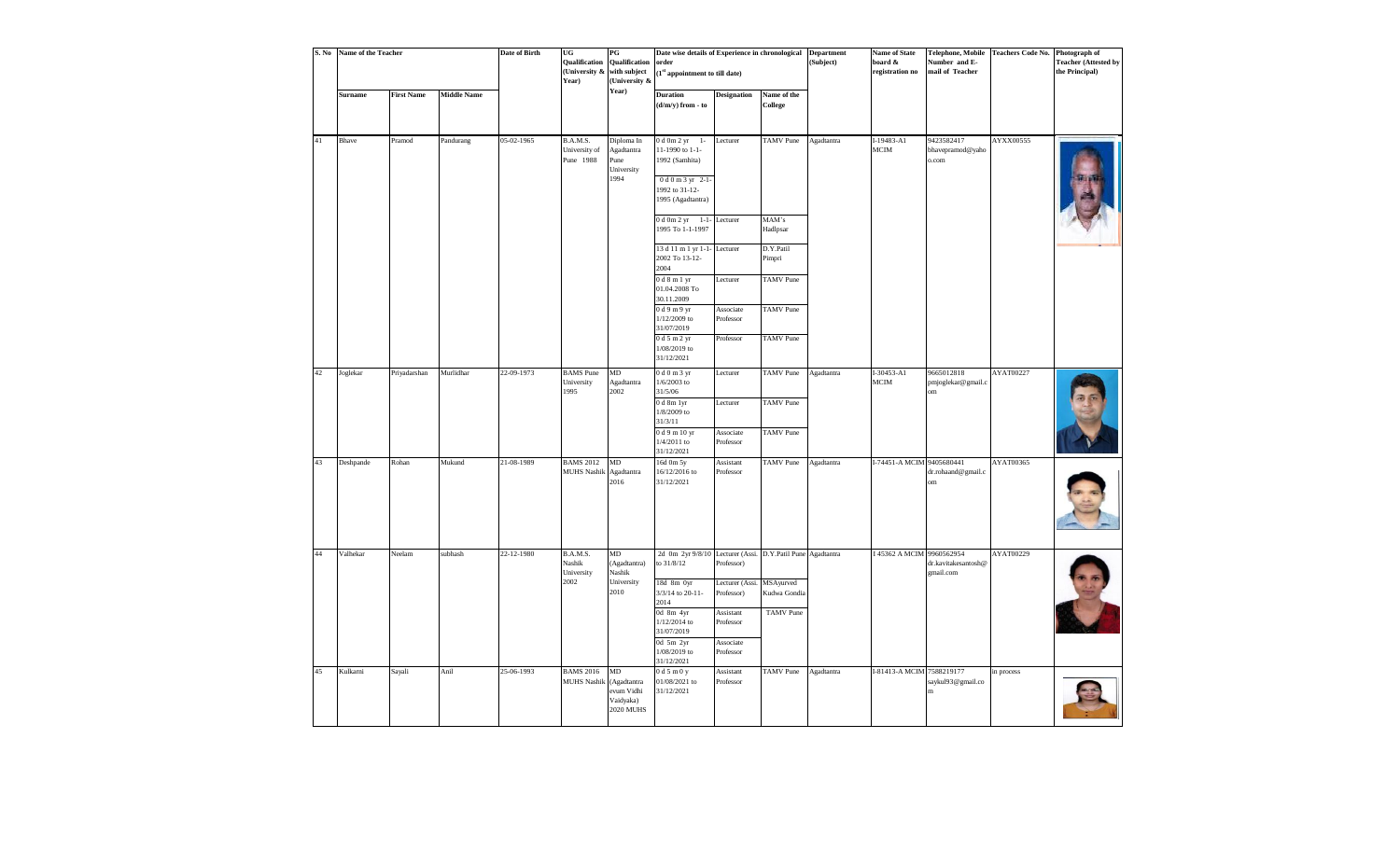| S. No | Name of the Teacher |                   |                    | <b>Date of Birth</b> | UG<br>Qualification<br>(University &<br>Year) | PG<br>Qualification<br>with subject<br>(University &             | Date wise details of Experience in chronological<br>order<br>(1st appointment to till date)                        |                                     |                                      | <b>Department</b><br>(Subject) | <b>Name of State</b><br>board &<br>registration no | Number and E-<br>mail of Teacher        | Telephone, Mobile Teachers Code No. Photograph of | <b>Teacher (Attested by</b><br>the Principal) |
|-------|---------------------|-------------------|--------------------|----------------------|-----------------------------------------------|------------------------------------------------------------------|--------------------------------------------------------------------------------------------------------------------|-------------------------------------|--------------------------------------|--------------------------------|----------------------------------------------------|-----------------------------------------|---------------------------------------------------|-----------------------------------------------|
|       | <b>Surname</b>      | <b>First Name</b> | <b>Middle Name</b> |                      |                                               | Year)                                                            | <b>Duration</b><br>$(d/m/y)$ from - to                                                                             | <b>Designation</b>                  | Name of the<br>College               |                                |                                                    |                                         |                                                   |                                               |
| 41    | Bhave               | Pramod            | Pandurang          | 05-02-1965           | B.A.M.S.<br>University of<br>Pune 1988        | Diploma In<br>Agadtantra<br>Pune<br>University<br>1994           | $0 d 0m 2 yr$ 1-<br>11-1990 to 1-1-<br>1992 (Samhita)<br>$0 d 0 m 3 yr 2-1$<br>1992 to 31-12-<br>1995 (Agadtantra) | Lecturer                            | <b>TAMV</b> Pune                     | Agadtantra                     | I-19483-A1<br>$MCIM$                               | 9423582417<br>bhavepramod@yaho<br>o.com | AYXX00555                                         |                                               |
|       |                     |                   |                    |                      |                                               |                                                                  | $0 d 0m 2 yr 1-1-$<br>1995 To 1-1-1997                                                                             | Lecturer                            | MAM's<br>Hadlpsar                    |                                |                                                    |                                         |                                                   |                                               |
|       |                     |                   |                    |                      |                                               |                                                                  | 13 d 11 m 1 yr 1-1- Lecturer<br>2002 To 13-12-<br>2004                                                             |                                     | D.Y.Patil<br>Pimpri                  |                                |                                                    |                                         |                                                   |                                               |
|       |                     |                   |                    |                      |                                               |                                                                  | 0d8m1yr<br>$01.04.2008{\;{\rm To}\;}$<br>30.11.2009                                                                | Lecturer                            | <b>TAMV</b> Pune                     |                                |                                                    |                                         |                                                   |                                               |
|       |                     |                   |                    |                      |                                               |                                                                  | 0 d 9 m 9 yr<br>1/12/2009 to<br>31/07/2019<br>0 d 5 m 2 yr                                                         | Associate<br>Professor<br>Professor | <b>TAMV</b> Pune<br><b>TAMV</b> Pune |                                |                                                    |                                         |                                                   |                                               |
|       |                     |                   |                    |                      |                                               |                                                                  | 1/08/2019 to<br>31/12/2021                                                                                         |                                     |                                      |                                |                                                    |                                         |                                                   |                                               |
| 42    | Joglekar            | Priyadarshan      | Murlidhar          | 22-09-1973           | <b>BAMS</b> Pune<br>University<br>1995        | $\rm MD$<br>Agadtantra<br>2002                                   | 0 d 0 m 3 yr<br>$1/6/2003$ to<br>31/5/06<br>0d8m1yr                                                                | Lecturer<br>Lecturer                | <b>TAMV</b> Pune<br>TAMV Pune        | Agadtantra                     | I-30453-A1<br>$_{\rm MCM}$                         | 9665012818<br>pmjoglekar@gmail.c<br>om  | AYAT00227                                         |                                               |
|       |                     |                   |                    |                      |                                               |                                                                  | $1/8/2009$ to<br>31/3/11<br>0 d 9 m 10 yr                                                                          | Associate                           | <b>TAMV</b> Pune                     |                                |                                                    |                                         |                                                   |                                               |
| 43    |                     |                   |                    | 21-08-1989           | <b>BAMS 2012</b>                              | $\rm MD$                                                         | $1/4/2011$ to<br>31/12/2021                                                                                        | Professor                           | TAMV Pune                            |                                | I-74451-A MCIM 9405680441                          |                                         | AYAT00365                                         |                                               |
|       | Deshpande           | Rohan             | Mukund             |                      | <b>MUHS Nashik</b>                            | Agadtantra<br>2016                                               | 16d 0m 5y<br>16/12/2016 to<br>31/12/2021                                                                           | Assistant<br>Professor              |                                      | Agadtantra                     |                                                    | dr.rohaand@gmail.c<br>om                |                                                   |                                               |
| 44    | Valhekar            | Neelam            | subhash            | 22-12-1980           | B.A.M.S.<br>Nashik<br>University              | MD<br>(Agadtantra)<br>Nashik                                     | 2d 0m 2yr 9/8/10 Lecturer (Assi. D.Y.Patil Pune Agadtantra<br>to 31/8/12                                           | Professor)                          |                                      |                                | I 45362 A MCIM 9960562954                          | dr.kavitakesantosh@<br>gmail.com        | AYAT00229                                         |                                               |
|       |                     |                   |                    |                      | 2002                                          | University<br>2010                                               | 18d 8m 0yr<br>3/3/14 to 20-11-<br>2014                                                                             | Lecturer (Assi.<br>Professor)       | MSAyurved<br>Kudwa Gondia            |                                |                                                    |                                         |                                                   |                                               |
|       |                     |                   |                    |                      |                                               |                                                                  | 0d 8m 4yr<br>1/12/2014 to<br>31/07/2019<br>0d 5m 2yr                                                               | Assistant<br>Professor              | <b>TAMV</b> Pune                     |                                |                                                    |                                         |                                                   |                                               |
|       |                     |                   |                    |                      |                                               |                                                                  | 1/08/2019 to<br>31/12/2021                                                                                         | Associate<br>Professor              |                                      |                                |                                                    |                                         |                                                   |                                               |
| 45    | Kulkarni            | Sayali            | Anil               | 25-06-1993           | <b>BAMS 2016</b><br><b>MUHS Nashik</b>        | MD<br>(Agadtantra<br>evum Vidhi<br>Vaidyaka)<br><b>2020 MUHS</b> | 0 d 5 m 0 y<br>01/08/2021 to<br>31/12/2021                                                                         | Assistant<br>Professor              | <b>TAMV</b> Pune                     | Agadtantra                     | I-81413-A MCIM 7588219177                          | saykul93@gmail.co<br>m                  | in process                                        |                                               |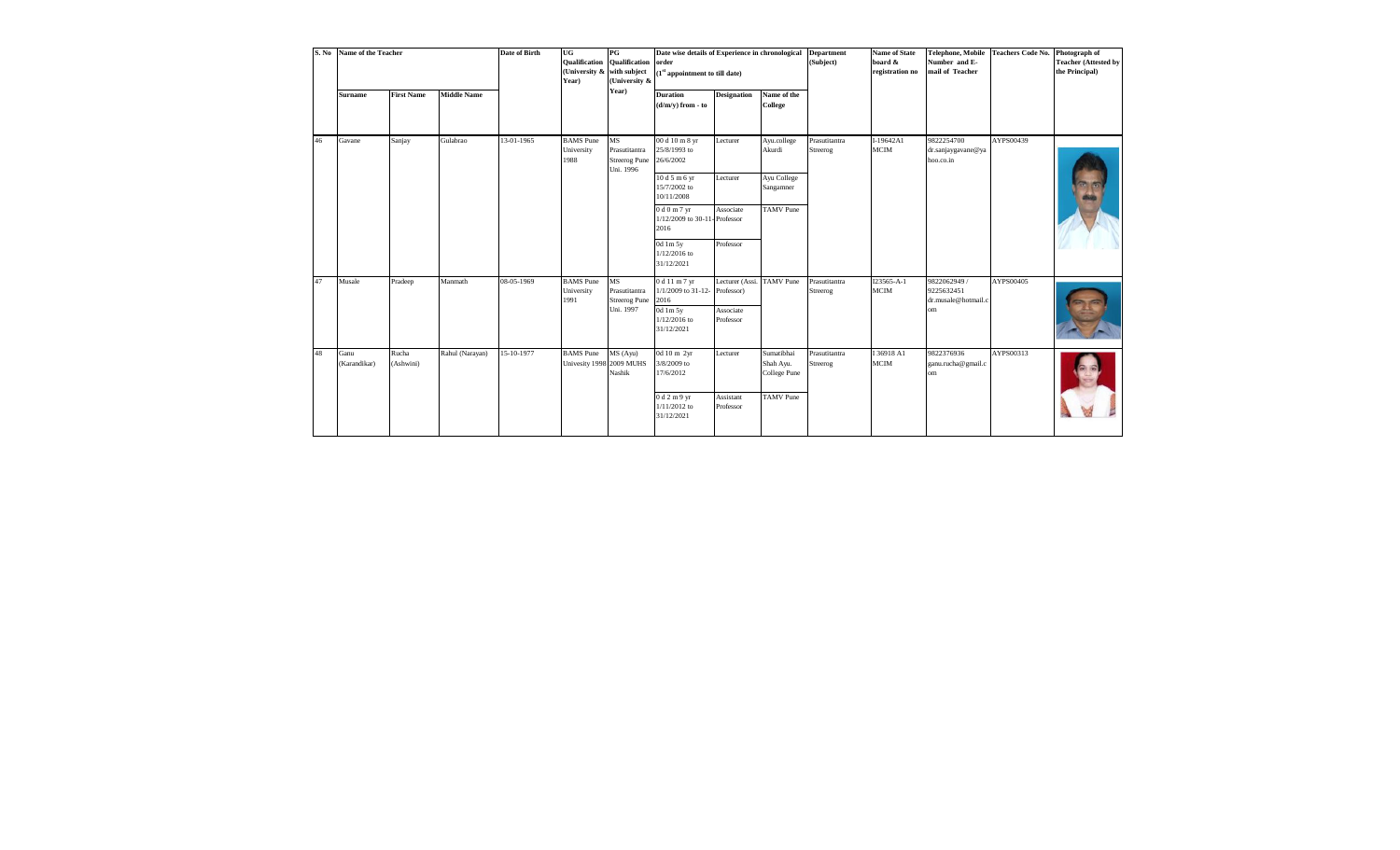| S. No | Name of the Teacher  |                    |                    | <b>Date of Birth</b> | UG<br><b>Qualification</b><br>(University & with subject<br>Year) | PG<br>Qualification<br>(University &                     | Date wise details of Experience in chronological<br>order<br>(1 <sup>st</sup> appointment to till date) |                           |                                         | <b>Department</b><br>(Subject) | <b>Name of State</b><br>board &<br>registration no | <b>Telephone, Mobile</b><br>Number and E-<br>mail of Teacher | Teachers Code No. Photograph of | <b>Teacher (Attested by</b><br>the Principal) |
|-------|----------------------|--------------------|--------------------|----------------------|-------------------------------------------------------------------|----------------------------------------------------------|---------------------------------------------------------------------------------------------------------|---------------------------|-----------------------------------------|--------------------------------|----------------------------------------------------|--------------------------------------------------------------|---------------------------------|-----------------------------------------------|
|       | <b>Surname</b>       | <b>First Name</b>  | <b>Middle Name</b> |                      |                                                                   | Year)                                                    | <b>Duration</b><br>$(d/m/v)$ from - to                                                                  | <b>Designation</b>        | Name of the<br>College                  |                                |                                                    |                                                              |                                 |                                               |
| 46    | Gavane               | Sanjay             | Gulabrao           | 13-01-1965           | <b>BAMS</b> Pune<br>University<br>1988                            | MS<br>Prasutitantra<br><b>Streerog Pune</b><br>Uni. 1996 | 00 d 10 m 8 yr<br>25/8/1993 to<br>26/6/2002                                                             | Lecturer                  | Ayu.college<br>Akurdi                   | Prasutitantra<br>Streerog      | I-19642A1<br>MCIM                                  | 9822254700<br>dr.sanjaygavane@ya<br>hoo.co.in                | AYPS00439                       |                                               |
|       |                      |                    |                    |                      |                                                                   |                                                          | 10 d 5 m 6 yr<br>15/7/2002 to<br>10/11/2008                                                             | Lecturer                  | Ayu College<br>Sangamner                |                                |                                                    |                                                              |                                 |                                               |
|       |                      |                    |                    |                      |                                                                   |                                                          | 0 d 0 m 7 yr<br>1/12/2009 to 30-11-Professor<br>2016                                                    | Associate                 | <b>TAMV</b> Pune                        |                                |                                                    |                                                              |                                 |                                               |
|       |                      |                    |                    |                      |                                                                   |                                                          | 0d 1m 5y<br>$1/12/2016$ to<br>31/12/2021                                                                | Professor                 |                                         |                                |                                                    |                                                              |                                 |                                               |
| 47    | Musale               | Pradeep            | Manmath            | 08-05-1969           | <b>BAMS</b> Pune<br>University<br>1991                            | MS<br>Prasutitantra<br><b>Streerog Pune</b><br>Uni. 1997 | 0 d 11 m 7 yr<br>1/1/2009 to 31-12- Professor)<br>2016                                                  | Lecturer (Assi. TAMV Pune |                                         | Prasutitantra<br>Streerog      | I23565-A-1<br>$_{\rm MCM}$                         | 9822062949 /<br>9225632451<br>dr.musale@hotmail.c            | AYPS00405                       |                                               |
|       |                      |                    |                    |                      |                                                                   |                                                          | 0d 1m 5y<br>$1/12/2016$ to<br>31/12/2021                                                                | Associate<br>Professor    |                                         |                                |                                                    | om                                                           |                                 |                                               |
| 48    | Ganu<br>(Karandikar) | Rucha<br>(Ashwini) | Rahul (Narayan)    | 15-10-1977           | <b>BAMS</b> Pune<br>Univesity 1998 2009 MUHS                      | MS (Ayu)<br>Nashik                                       | 0d 10 m 2yr<br>3/8/2009 to<br>17/6/2012                                                                 | Lecturer                  | Sumatibhai<br>Shah Ayu.<br>College Pune | Prasutitantra<br>Streerog      | I 36918 A1<br>MCIM                                 | 9822376936<br>ganu.rucha@gmail.c<br>om                       | AYPS00313                       |                                               |
|       |                      |                    |                    |                      |                                                                   |                                                          | 0 d 2 m 9 yr<br>$1/11/2012$ to<br>31/12/2021                                                            | Assistant<br>Professor    | <b>TAMV</b> Pune                        |                                |                                                    |                                                              |                                 |                                               |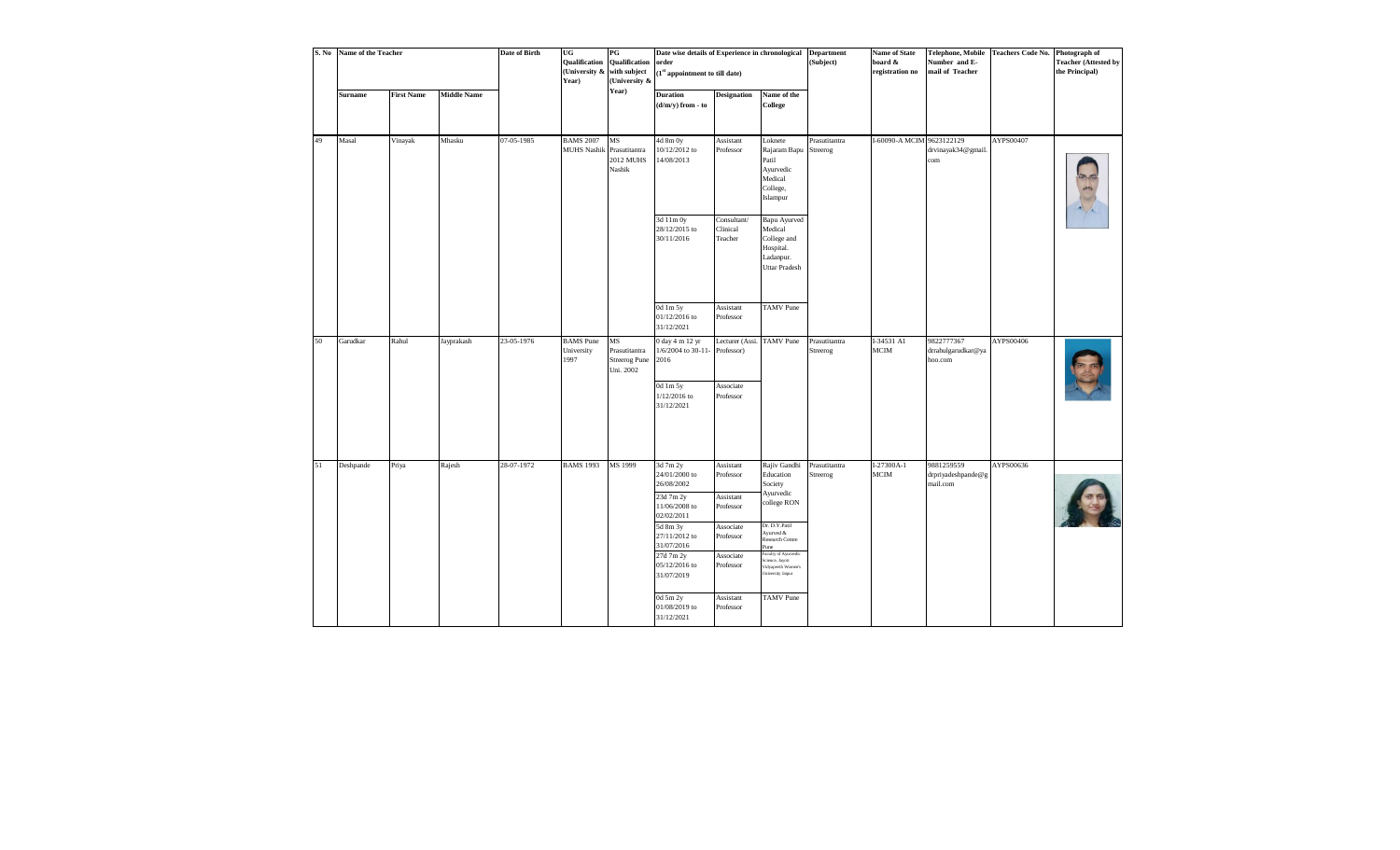| S. No | Name of the Teacher |                   |                    | <b>Date of Birth</b> | UG<br>Qualification<br>(University &<br>Year) | $_{\rm PG}$<br>Qualification<br>with subject<br>(University & | Date wise details of Experience in chronological<br>order<br>$\boldsymbol{(1}^{\text{st}}$ appointment to till date)                                                                                                  |                                                                                                                                |                                                                                                                                                                                                                                           | <b>Department</b><br>(Subject) | <b>Name of State</b><br>board &<br>registration no | Number and E-<br>mail of Teacher             | Telephone, Mobile Teachers Code No. | Photograph of<br><b>Teacher (Attested by</b><br>the Principal) |
|-------|---------------------|-------------------|--------------------|----------------------|-----------------------------------------------|---------------------------------------------------------------|-----------------------------------------------------------------------------------------------------------------------------------------------------------------------------------------------------------------------|--------------------------------------------------------------------------------------------------------------------------------|-------------------------------------------------------------------------------------------------------------------------------------------------------------------------------------------------------------------------------------------|--------------------------------|----------------------------------------------------|----------------------------------------------|-------------------------------------|----------------------------------------------------------------|
|       | <b>Surname</b>      | <b>First Name</b> | <b>Middle Name</b> |                      |                                               | Year)                                                         | Duration<br>$(d/m/y)$ from - to                                                                                                                                                                                       | <b>Designation</b>                                                                                                             | Name of the<br><b>College</b>                                                                                                                                                                                                             |                                |                                                    |                                              |                                     |                                                                |
| 49    | Masal               | Vinayak           | Mhasku             | 07-05-1985           | <b>BAMS 2007</b><br>MUHS Nashik Prasutitantra | $_{\rm MS}$<br>2012 MUHS<br>Nashik                            | 4d 8m 0y<br>10/12/2012 to<br>14/08/2013<br>3d 11m 0y<br>28/12/2015 to<br>30/11/2016                                                                                                                                   | Assistant<br>Professor<br>Consultant/<br>Clinical<br>Teacher                                                                   | Loknete<br>Rajaram Bapu Streerog<br>Patil<br>Ayurvedic<br>Medical<br>College,<br>Islampur<br>Bapu Ayurved<br>Medical<br>College and                                                                                                       | Prasutitantra                  | I-60090-A MCIM 9623122129                          | drvinayak34@gmail.<br>com                    | AYPS00407                           |                                                                |
|       |                     |                   |                    |                      |                                               |                                                               | 0d 1m 5y<br>01/12/2016 to<br>31/12/2021                                                                                                                                                                               | Assistant<br>Professor                                                                                                         | Hospital.<br>Ladanpur.<br><b>Uttar Pradesh</b><br><b>TAMV</b> Pune                                                                                                                                                                        |                                |                                                    |                                              |                                     |                                                                |
| 50    | Garudkar            | Rahul             | Jayprakash         | 23-05-1976           | <b>BAMS</b> Pune<br>University<br>1997        | MS<br>Prasutitantra<br><b>Streerog Pune</b><br>Uni. 2002      | 0 day 4 m 12 yr<br>1/6/2004 to 30-11- Professor)<br>2016<br>0d 1m 5y<br>1/12/2016 to<br>31/12/2021                                                                                                                    | Lecturer (Assi.<br>Associate<br>Professor                                                                                      | <b>TAMV</b> Pune                                                                                                                                                                                                                          | Prasutitantra<br>Streerog      | I-34531 Al<br>$MCIM$                               | 9822777367<br>drrahulgarudkar@ya<br>hoo.com  | AYPS00406                           |                                                                |
| 51    | Deshpande           | Priya             | Rajesh             | 28-07-1972           | <b>BAMS 1993</b>                              | MS 1999                                                       | 3d 7m 2y<br>24/01/2000 to<br>26/08/2002<br>23d 7m 2y<br>11/06/2008 to<br>02/02/2011<br>5d 8m 3y<br>27/11/2012 to<br>31/07/2016<br>27d 7m 2y<br>05/12/2016 to<br>31/07/2019<br>0d 5m 2y<br>01/08/2019 to<br>31/12/2021 | Assistant<br>Professor<br>Assistant<br>Professor<br>Associate<br>Professor<br>Associate<br>Professor<br>Assistant<br>Professor | Rajiv Gandhi<br>Education<br>Society<br>Ayurvedic<br>college RON<br>Dr. D.Y.Patil<br>Ayurved &<br>Research Centre<br>Pune<br>aculty of Ayurvedic<br>icience, Jayoti<br>Vidyapeeth Women's<br><b>Jniversity Jaipur</b><br><b>TAMV</b> Pune | Prasutitantra<br>Streerog      | $I-27300A-1$<br>MCIM                               | 9881259559<br>drpriyadeshpande@g<br>mail.com | AYPS00636                           |                                                                |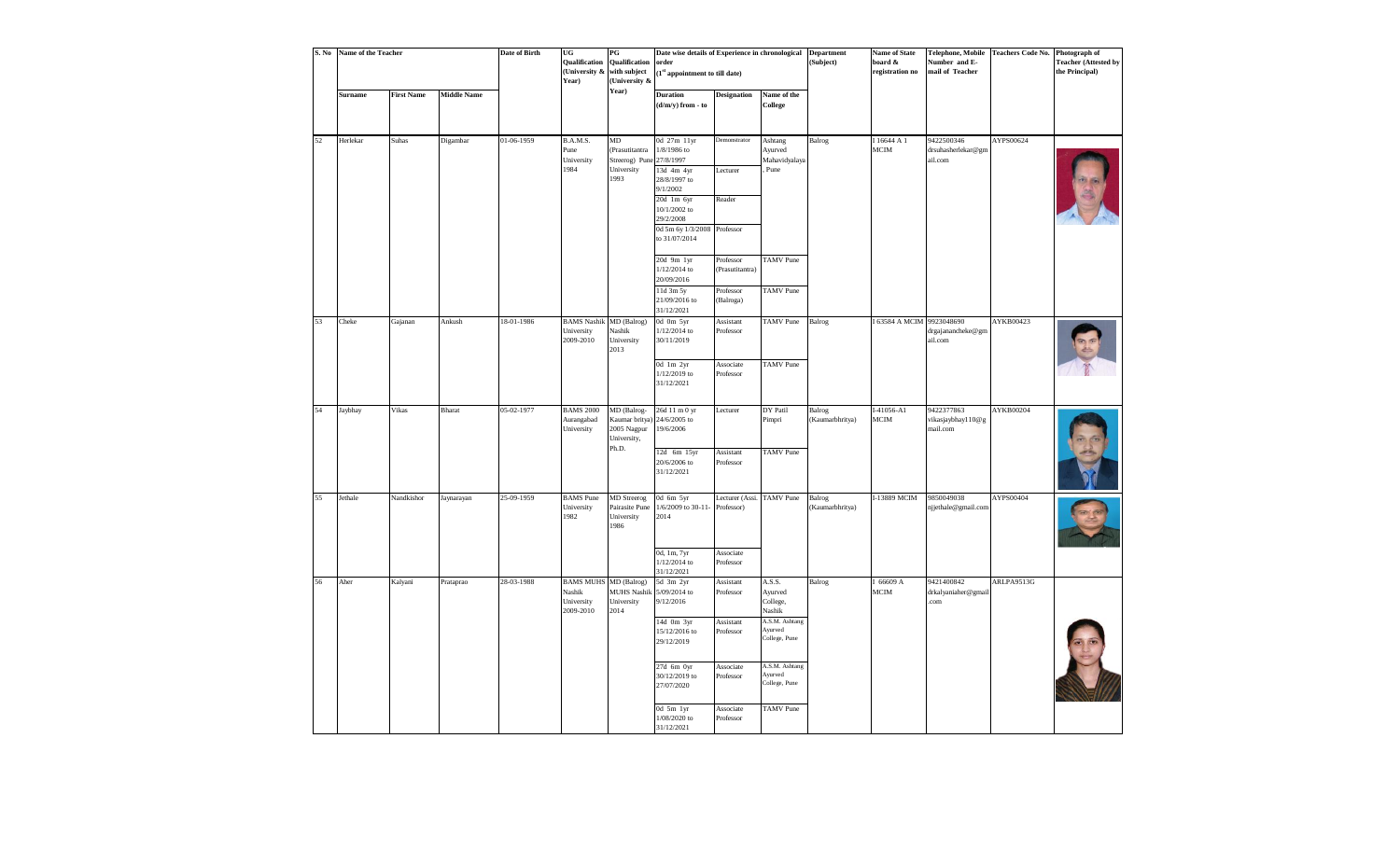| S. No | Name of the Teacher |                   |                    | Date of Birth | UG<br><b>Qualification</b><br>(University &<br>Year)              | $\mathbf{P}\mathbf{G}$<br><b>Qualification</b><br>with subject<br>(University & | Date wise details of Experience in chronological<br>order<br>$\left(1^{\text{st}}\text{ appointment to till date}\right)$ |                                           |                                             | <b>Department</b><br>(Subject) | <b>Name of State</b><br>board &<br>registration no | Telephone, Mobile<br>Number and E-<br>mail of Teacher | Teachers Code No. Photograph of | <b>Teacher (Attested by</b><br>the Principal) |
|-------|---------------------|-------------------|--------------------|---------------|-------------------------------------------------------------------|---------------------------------------------------------------------------------|---------------------------------------------------------------------------------------------------------------------------|-------------------------------------------|---------------------------------------------|--------------------------------|----------------------------------------------------|-------------------------------------------------------|---------------------------------|-----------------------------------------------|
|       | Surname             | <b>First Name</b> | <b>Middle Name</b> |               |                                                                   | Year)                                                                           | <b>Duration</b><br>$(d/m/y)$ from - to                                                                                    | <b>Designation</b>                        | Name of the<br>College                      |                                |                                                    |                                                       |                                 |                                               |
| 52    | Herlekar            | Suhas             | Digambar           | 01-06-1959    | B.A.M.S.<br>Pune<br>University<br>1984                            | MD<br>(Prasutitantra<br>Streerog) Pune<br>University<br>1993                    | 0d 27m 11yr<br>$1/8/1986$ to<br>27/8/1997<br>13d 4m 4yr<br>28/8/1997 to<br>9/1/2002<br>20d 1m 6yr<br>10/1/2002 to         | <b>Demonstrator</b><br>Lecturer<br>Reader | Ashtang<br>Ayurved<br>Mahavidyalaya<br>Pune | Balrog                         | I 16644 A 1<br><b>MCIM</b>                         | 9422500346<br>drsuhasherlekar@gm<br>ail.com           | AYPS00624                       |                                               |
|       |                     |                   |                    |               |                                                                   |                                                                                 | 29/2/2008<br>0d 5m 6y 1/3/2008 Professor<br>to 31/07/2014                                                                 |                                           |                                             |                                |                                                    |                                                       |                                 |                                               |
|       |                     |                   |                    |               |                                                                   |                                                                                 | 20d 9m 1yr<br>1/12/2014 to<br>20/09/2016<br>11d 3m 5y                                                                     | Professor<br>(Prasutitantra)<br>Professor | <b>TAMV</b> Pune<br><b>TAMV</b> Pune        |                                |                                                    |                                                       |                                 |                                               |
|       |                     |                   |                    |               |                                                                   |                                                                                 | 21/09/2016 to<br>31/12/2021                                                                                               | (Balroga)                                 |                                             |                                |                                                    |                                                       |                                 |                                               |
| 53    | Cheke               | Gajanan           | Ankush             | 18-01-1986    | <b>BAMS Nashik</b> MD (Balrog)<br>University<br>2009-2010         | Nashik<br>University<br>2013                                                    | 0d 0m 5yr<br>1/12/2014 to<br>30/11/2019                                                                                   | Assistant<br>Professor                    | <b>TAMV</b> Pune                            | Balrog                         | I 63584 A MCIM 9923048690                          | drgajanancheke@gm<br>ail.com                          | AYKB00423                       |                                               |
|       |                     |                   |                    |               |                                                                   |                                                                                 | 0d 1m 2yr<br>1/12/2019 to<br>31/12/2021                                                                                   | Associate<br>Professor                    | <b>TAMV</b> Pune                            |                                |                                                    |                                                       |                                 |                                               |
| 54    | Jaybhay             | Vikas             | Bharat             | 05-02-1977    | <b>BAMS 2000</b><br>Aurangabad<br>University                      | MD (Balrog-<br>Kaumar britya)<br>2005 Nagpur<br>University,<br>Ph.D.            | 26d 11 m 0 yr<br>24/6/2005 to<br>19/6/2006                                                                                | Lecturer                                  | DY Patil<br>Pimpri                          | Balrog<br>(Kaumarbhritya)      | I-41056-A1<br>MCIM                                 | 9422377863<br>vikasjaybhayl 10@g<br>mail.com          | AYKB00204                       |                                               |
|       |                     |                   |                    |               |                                                                   |                                                                                 | 12d 6m 15yr<br>20/6/2006 to<br>31/12/2021                                                                                 | Assistant<br>Professor                    | <b>TAMV</b> Pune                            |                                |                                                    |                                                       |                                 |                                               |
| 55    | Jethale             | Nandkishor        | Jaynarayan         | 25-09-1959    | <b>BAMS</b> Pune<br>University<br>1982                            | <b>MD</b> Streerog<br>Pairasite Pune<br>University<br>1986                      | 0d 6m 5yr<br>1/6/2009 to 30-11- Professor)<br>2014                                                                        | Lecturer (Assi.                           | <b>TAMV</b> Pune                            | Balrog<br>(Kaumarbhritya)      | I-13889 MCIM                                       | 9850049038<br>njjethale@gmail.com                     | AYPS00404                       |                                               |
|       |                     |                   |                    |               |                                                                   |                                                                                 | 0d, 1m, 7yr<br>1/12/2014 to<br>31/12/2021                                                                                 | Associate<br>Professor                    |                                             |                                |                                                    |                                                       |                                 |                                               |
| 56    | Aher                | Kalyani           | Prataprao          | 28-03-1988    | <b>BAMS MUHS MD (Balrog)</b><br>Nashik<br>University<br>2009-2010 | MUHS Nashik 5/09/2014 to<br>University<br>2014                                  | 5d 3m 2yr<br>9/12/2016                                                                                                    | Assistant<br>Professor                    | A.S.S.<br>Ayurved<br>College,<br>Nashik     | Balrog                         | I 66609 A<br>MCIM                                  | 9421400842<br>drkalyaniaher@gmail<br>com              | ARLPA9513G                      |                                               |
|       |                     |                   |                    |               |                                                                   |                                                                                 | $14d$ 0m $3yr$<br>15/12/2016 to<br>29/12/2019                                                                             | Assistant<br>Professor                    | A.S.M. Ashtang<br>Ayurved<br>College, Pune  |                                |                                                    |                                                       |                                 |                                               |
|       |                     |                   |                    |               |                                                                   |                                                                                 | 27d 6m 0yr<br>30/12/2019 to<br>27/07/2020                                                                                 | Associate<br>Professor                    | A.S.M. Ashtang<br>Ayurved<br>College, Pune  |                                |                                                    |                                                       |                                 |                                               |
|       |                     |                   |                    |               |                                                                   |                                                                                 | 0d 5m lyr<br>1/08/2020 to<br>31/12/2021                                                                                   | Associate<br>Professor                    | <b>TAMV</b> Pune                            |                                |                                                    |                                                       |                                 |                                               |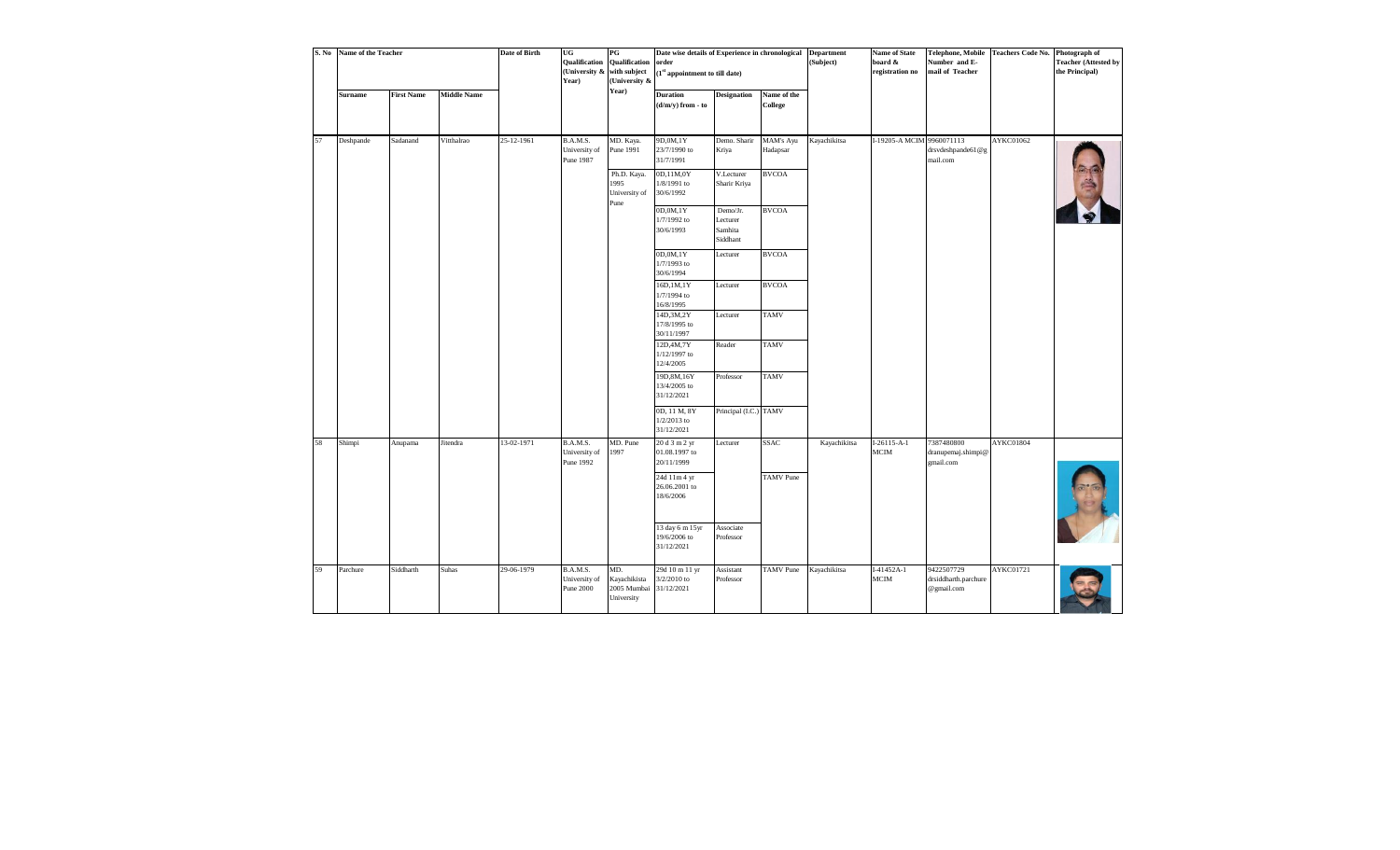| S. No | Name of the Teacher |                   |                    | <b>Date of Birth</b> | UG<br><b>Qualification</b><br>(University &<br>Year) | $_{\rm PG}$<br>Qualification<br>with subject<br>(University &<br>Year) | Date wise details of Experience in chronological<br>order<br>$(1st$ appointment to till date) |                                             |                        | <b>Department</b><br>(Subject) | <b>Name of State</b><br>board &<br>registration no | <b>Telephone, Mobile</b><br>Number and E-<br>mail of Teacher | <b>Teachers Code No.</b> | Photograph of<br><b>Teacher (Attested by</b><br>the Principal) |
|-------|---------------------|-------------------|--------------------|----------------------|------------------------------------------------------|------------------------------------------------------------------------|-----------------------------------------------------------------------------------------------|---------------------------------------------|------------------------|--------------------------------|----------------------------------------------------|--------------------------------------------------------------|--------------------------|----------------------------------------------------------------|
|       | <b>Surname</b>      | <b>First Name</b> | <b>Middle Name</b> |                      |                                                      |                                                                        | <b>Duration</b><br>(d/m/y) from - to                                                          | <b>Designation</b>                          | Name of the<br>College |                                |                                                    |                                                              |                          |                                                                |
| 57    | Deshpande           | Sadanand          | Vitthalrao         | 25-12-1961           | B.A.M.S.<br>University of<br>Pune 1987               | MD. Kaya.<br>Pune 1991                                                 | 9D,0M,1Y<br>23/7/1990 to<br>31/7/1991                                                         | Demo. Sharir<br>Kriya                       | MAM's Ayu<br>Hadapsar  | Kayachikitsa                   | I-19205-A MCIM                                     | 9960071113<br>drsvdeshpande61@g<br>mail.com                  | AYKC01062                |                                                                |
|       |                     |                   |                    |                      |                                                      | Ph.D. Kaya.<br>1995<br>University of<br>Pune                           | 0D,11M,0Y<br>1/8/1991 to<br>30/6/1992                                                         | V.Lecturer<br>Sharir Kriya                  | <b>BVCOA</b>           |                                |                                                    |                                                              |                          |                                                                |
|       |                     |                   |                    |                      |                                                      |                                                                        | 0D,0M,1Y<br>1/7/1992 to<br>30/6/1993                                                          | Demo/Jr.<br>Lecturer<br>Samhita<br>Siddhant | <b>BVCOA</b>           |                                |                                                    |                                                              |                          |                                                                |
|       |                     |                   |                    |                      |                                                      |                                                                        | 0D,0M,1Y<br>1/7/1993 to<br>30/6/1994                                                          | Lecturer                                    | <b>BVCOA</b>           |                                |                                                    |                                                              |                          |                                                                |
|       |                     |                   |                    |                      |                                                      |                                                                        | 16D, 1M, 1Y<br>1/7/1994 to<br>16/8/1995                                                       | Lecturer                                    | <b>BVCOA</b>           |                                |                                                    |                                                              |                          |                                                                |
|       |                     |                   |                    |                      |                                                      |                                                                        | 14D, 3M, 2Y<br>17/8/1995 to<br>30/11/1997                                                     | Lecturer                                    | <b>TAMV</b>            |                                |                                                    |                                                              |                          |                                                                |
|       |                     |                   |                    |                      |                                                      |                                                                        | 12D, 4M, 7Y<br>1/12/1997 to<br>12/4/2005                                                      | Reader                                      | <b>TAMV</b>            |                                |                                                    |                                                              |                          |                                                                |
|       |                     |                   |                    |                      |                                                      |                                                                        | 19D, 8M, 16Y<br>13/4/2005 to<br>31/12/2021                                                    | Professor                                   | <b>TAMV</b>            |                                |                                                    |                                                              |                          |                                                                |
|       |                     |                   |                    |                      |                                                      |                                                                        | 0D, 11 M, 8Y<br>$1/2/2013$ to<br>31/12/2021                                                   | Principal (I.C.) TAMV                       |                        |                                |                                                    |                                                              |                          |                                                                |
| 58    | Shimpi              | Anupama           | Jitendra           | 13-02-1971           | B.A.M.S.<br>University of<br>Pune 1992               | MD. Pune<br>1997                                                       | 20 d 3 m 2 yr<br>01.08.1997 to<br>20/11/1999                                                  | Lecturer                                    | <b>SSAC</b>            | Kayachikitsa                   | $I-26115-A-1$<br><b>MCIM</b>                       | 7387480800<br>dranupemaj.shimpi@<br>gmail.com                | AYKC01804                |                                                                |
|       |                     |                   |                    |                      |                                                      |                                                                        | 24d 11m 4 yr<br>26.06.2001 to<br>18/6/2006                                                    |                                             | <b>TAMV</b> Pune       |                                |                                                    |                                                              |                          |                                                                |
|       |                     |                   |                    |                      |                                                      |                                                                        | 13 day 6 m 15yr<br>19/6/2006 to<br>31/12/2021                                                 | Associate<br>Professor                      |                        |                                |                                                    |                                                              |                          |                                                                |
| 59    | Parchure            | Siddharth         | Suhas              | 29-06-1979           | B.A.M.S.<br>University of<br><b>Pune 2000</b>        | MD.<br>Kayachikista<br>2005 Mumbai<br>University                       | 29d 10 m 11 yr<br>3/2/2010 to<br>31/12/2021                                                   | Assistant<br>Professor                      | <b>TAMV</b> Pune       | Kayachikitsa                   | $I-41452A-1$<br><b>MCIM</b>                        | 9422507729<br>drsiddharth.parchure<br>@gmail.com             | AYKC01721                |                                                                |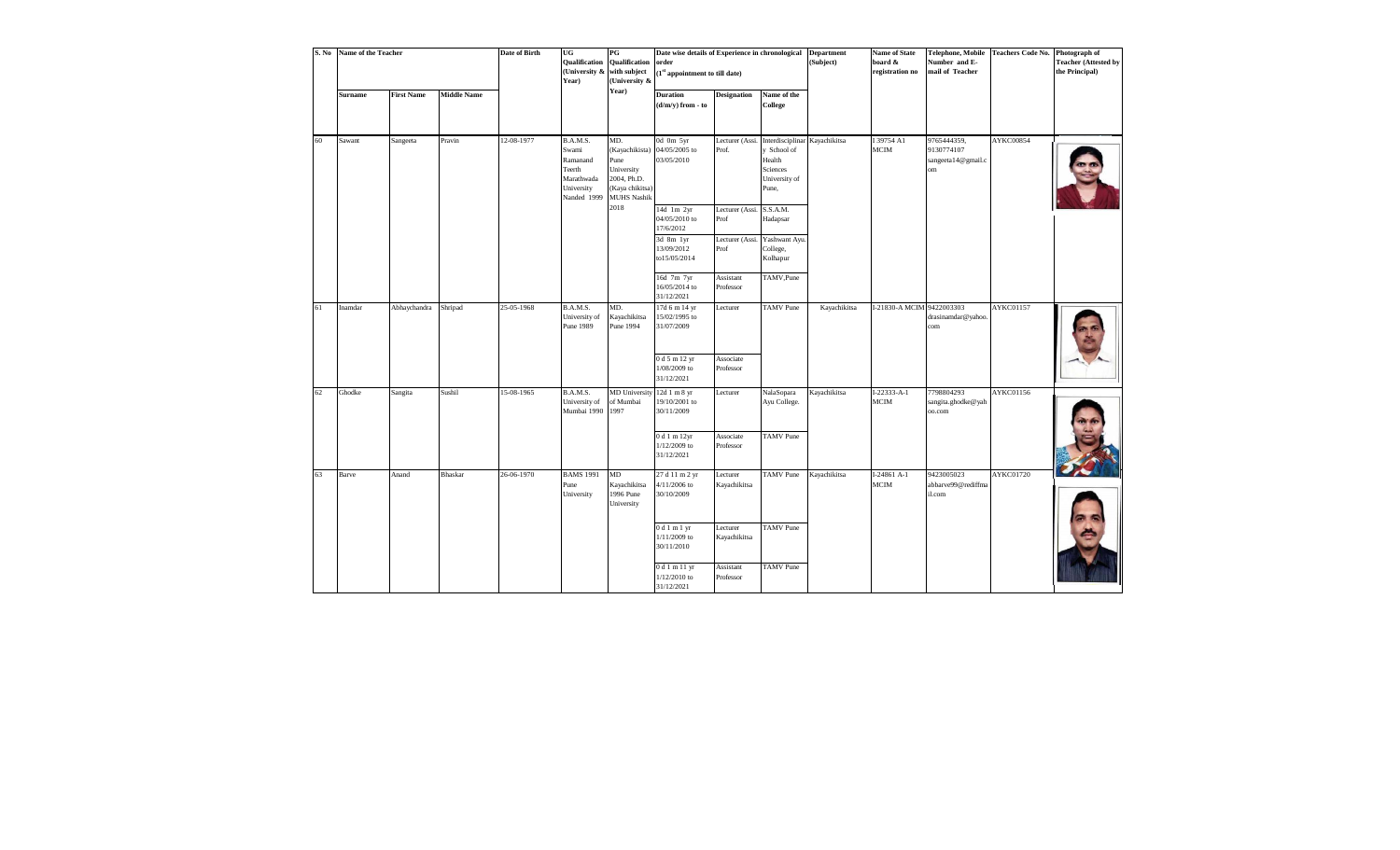| S. No | Name of the Teacher |                   |                    | <b>Date of Birth</b> | UG<br>Qualification<br>(University &<br>Year)                                      | $_{\rm PG}$<br>Qualification<br>with subject<br>University &                                        | Date wise details of Experience in chronological<br>order<br>$(1st$ appointment to till date) |                          |                                                                                              | <b>Department</b><br>(Subject) | <b>Name of State</b><br>board &<br>registration no | Telephone, Mobile<br>Number and E-<br>mail of Teacher | <b>Teachers Code No.</b> | Photograph of<br><b>Teacher (Attested by</b><br>the Principal) |
|-------|---------------------|-------------------|--------------------|----------------------|------------------------------------------------------------------------------------|-----------------------------------------------------------------------------------------------------|-----------------------------------------------------------------------------------------------|--------------------------|----------------------------------------------------------------------------------------------|--------------------------------|----------------------------------------------------|-------------------------------------------------------|--------------------------|----------------------------------------------------------------|
|       | Surname             | <b>First Name</b> | <b>Middle Name</b> |                      |                                                                                    | Year)                                                                                               | <b>Duration</b><br>$(d/m/y)$ from - to                                                        | <b>Designation</b>       | Name of the<br>College                                                                       |                                |                                                    |                                                       |                          |                                                                |
| 60    | Sawant              | Sangeeta          | Pravin             | 12-08-1977           | B.A.M.S.<br>Swami<br>Ramanand<br>Teerth<br>Marathwada<br>University<br>Nanded 1999 | MD.<br>(Kayachikista)<br>Pune<br>University<br>2004, Ph.D.<br>(Kaya chikitsa)<br><b>MUHS Nashik</b> | 0d 0m 5yr<br>04/05/2005 to<br>03/05/2010                                                      | Lecturer (Assi.<br>Prof. | Interdisciplinar Kayachikitsa<br>y School of<br>Health<br>Sciences<br>University of<br>Pune, |                                | I 39754 A1<br><b>MCIM</b>                          | 9765444359,<br>9130774107<br>sangeeta14@gmail.c<br>om | AYKC00854                |                                                                |
|       |                     |                   |                    |                      |                                                                                    | 2018                                                                                                | 14d 1m 2yr<br>04/05/2010 to<br>17/6/2012                                                      | Lecturer (Assi.<br>Prof  | S.S.A.M.<br>Hadapsar                                                                         |                                |                                                    |                                                       |                          |                                                                |
|       |                     |                   |                    |                      |                                                                                    |                                                                                                     | 3d 8m 1yr<br>13/09/2012<br>to15/05/2014                                                       | Lecturer (Assi.<br>Prof  | Yashwant Ayu<br>College,<br>Kolhapur                                                         |                                |                                                    |                                                       |                          |                                                                |
|       |                     |                   |                    |                      |                                                                                    |                                                                                                     | 16d 7m 7yr<br>16/05/2014 to<br>31/12/2021                                                     | Assistant<br>Professor   | TAMV, Pune                                                                                   |                                |                                                    |                                                       |                          |                                                                |
| 61    | Inamdar             | Abhaychandra      | Shripad            | 25-05-1968           | B.A.M.S.<br>University of<br>Pune 1989                                             | MD.<br>Kayachikitsa<br>Pune 1994                                                                    | 17d 6 m 14 yr<br>15/02/1995 to<br>31/07/2009                                                  | Lecturer                 | <b>TAMV</b> Pune                                                                             | Kayachikitsa                   | I-21830-A MCIM                                     | 9422003303<br>drasinamdar@yahoo.<br>com               | AYKC01157                |                                                                |
|       |                     |                   |                    |                      |                                                                                    |                                                                                                     | 0 d 5 m 12 yr<br>1/08/2009 to<br>31/12/2021                                                   | Associate<br>Professor   |                                                                                              |                                |                                                    |                                                       |                          |                                                                |
| 62    | Ghodke              | Sangita           | Sushil             | 15-08-1965           | B.A.M.S.<br>University of<br>Mumbai 1990                                           | MD University 12d 1 m 8 yr<br>of Mumbai<br>1997                                                     | 19/10/2001 to<br>30/11/2009                                                                   | Lecturer                 | NalaSopara<br>Ayu College.                                                                   | Kayachikitsa                   | $I-22333-A-1$<br><b>MCIM</b>                       | 7798804293<br>sangita.ghodke@yah<br>oo.com            | AYKC01156                |                                                                |
|       |                     |                   |                    |                      |                                                                                    |                                                                                                     | 0 d 1 m 12yr<br>$1/12/2009$ to<br>31/12/2021                                                  | Associate<br>Professor   | <b>TAMV</b> Pune                                                                             |                                |                                                    |                                                       |                          |                                                                |
| 63    | Barve               | Anand             | <b>Bhaskar</b>     | 26-06-1970           | <b>BAMS 1991</b><br>Pune<br>University                                             | MD<br>Kayachikitsa<br>1996 Pune<br>University                                                       | 27 d 11 m 2 yr<br>4/11/2006 to<br>30/10/2009                                                  | Lecturer<br>Kayachikitsa | <b>TAMV</b> Pune                                                                             | Kayachikitsa                   | $I-24861A-1$<br><b>MCIM</b>                        | 9423005023<br>abbarve99@rediffma<br>il.com            | AYKC01720                |                                                                |
|       |                     |                   |                    |                      |                                                                                    |                                                                                                     | 0d1m1yr<br>$1/11/2009$ to<br>30/11/2010                                                       | Lecturer<br>Kayachikitsa | <b>TAMV</b> Pune                                                                             |                                |                                                    |                                                       |                          |                                                                |
|       |                     |                   |                    |                      |                                                                                    |                                                                                                     | 0 d 1 m 11 yr<br>$1/12/2010$ to<br>31/12/2021                                                 | Assistant<br>Professor   | <b>TAMV</b> Pune                                                                             |                                |                                                    |                                                       |                          |                                                                |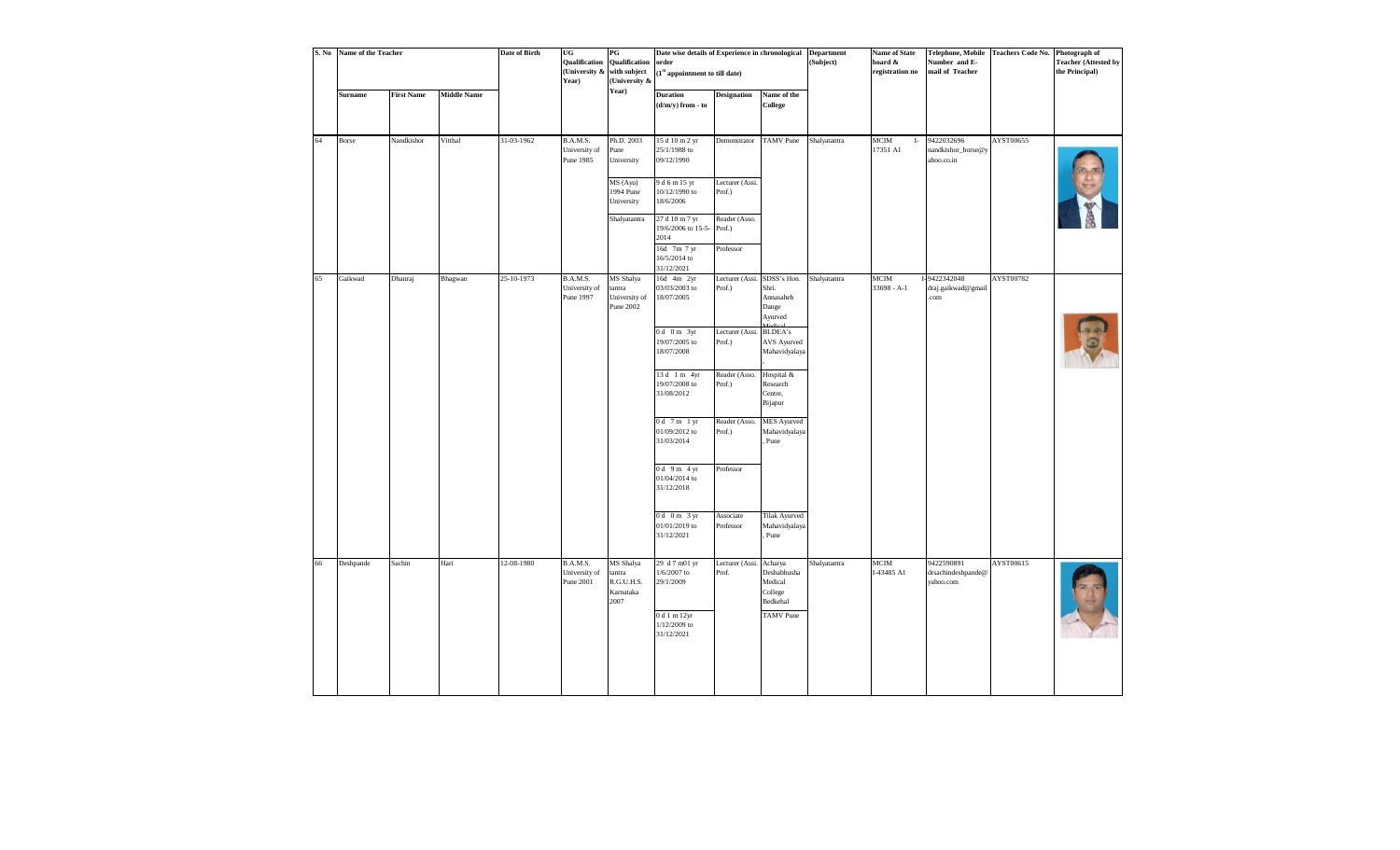| S. No | Name of the Teacher |                   |                    | Date of Birth | <b>UG</b><br>Qualification<br>(University &<br>Year) | $_{\rm PG}$<br>Qualification<br>with subject<br>(University & | Date wise details of Experience in chronological<br>order<br>$\left(1^{\rm st}$ appointment to till date) |                            |                                                                  | <b>Department</b><br>(Subject) | <b>Name of State</b><br>board &<br>registration no | <b>Telephone, Mobile</b><br>Number and E-<br>mail of Teacher | <b>Teachers Code No.</b> | Photograph of<br><b>Teacher (Attested by</b><br>the Principal) |
|-------|---------------------|-------------------|--------------------|---------------|------------------------------------------------------|---------------------------------------------------------------|-----------------------------------------------------------------------------------------------------------|----------------------------|------------------------------------------------------------------|--------------------------------|----------------------------------------------------|--------------------------------------------------------------|--------------------------|----------------------------------------------------------------|
|       | <b>Surname</b>      | <b>First Name</b> | <b>Middle Name</b> |               |                                                      | Year)                                                         | <b>Duration</b><br>(d/m/y) from - to                                                                      | <b>Designation</b>         | Name of the<br>College                                           |                                |                                                    |                                                              |                          |                                                                |
| 64    | Borse               | Nandkishor        | Vitthal            | 31-03-1962    | B.A.M.S.<br>University of<br>Pune 1985               | Ph.D. 2003<br>Pune<br>University                              | 15 d 10 m 2 yr<br>25/1/1988 to<br>09/12/1990                                                              | Demonstrator               | <b>TAMV</b> Pune                                                 | Shalyatantra                   | MCIM<br>$\;$ I-<br>17351 Al                        | 9422032696<br>nandkishor_borse@y<br>ahoo.co.in               | AYST00655                |                                                                |
|       |                     |                   |                    |               |                                                      | MS (Ayu)<br>1994 Pune<br>University                           | 9 d 6 m 15 yr<br>10/12/1990 to<br>18/6/2006                                                               | Lecturer (Assi.<br>Prof.)  |                                                                  |                                |                                                    |                                                              |                          |                                                                |
|       |                     |                   |                    |               |                                                      | Shalyatantra                                                  | 27 d 10 m 7 yr<br>19/6/2006 to 15-5-Prof.)<br>2014                                                        | Reader (Asso.<br>Professor |                                                                  |                                |                                                    |                                                              |                          |                                                                |
|       |                     |                   |                    |               |                                                      |                                                               | 16d 7m 7 yr<br>16/5/2014 to<br>31/12/2021                                                                 |                            |                                                                  |                                |                                                    |                                                              |                          |                                                                |
| 65    | Gaikwad             | Dhanraj           | Bhagwan            | 25-10-1973    | B.A.M.S.<br>University of<br>Pune 1997               | MS Shalya<br>tantra<br>University of<br>Pune 2002             | 16d 4m 2yr<br>03/03/2003 to<br>18/07/2005                                                                 | Lecturer (Assi.<br>Prof.)  | SDSS's Hon.<br>Shri.<br>Annasaheb<br>Dange<br>Ayurved<br>Modical | Shalyatantra                   | MCIM<br>$33698 - A-1$                              | I-9422342048<br>draj.gaikwad@gmail<br>.com                   | AYST00782                |                                                                |
|       |                     |                   |                    |               |                                                      |                                                               | $0d$ 0 m $3yr$<br>19/07/2005 to<br>18/07/2008                                                             | Lecturer (Assi.<br>Prof.)  | <b>BLDEA's</b><br>AVS Ayurved<br>Mahavidyalaya                   |                                |                                                    |                                                              |                          |                                                                |
|       |                     |                   |                    |               |                                                      |                                                               | 13 d 1 m 4yr<br>19/07/2008 to<br>31/08/2012                                                               | Reader (Asso.<br>Prof.)    | Hospital &<br>Research<br>Centre,<br>Bijapur                     |                                |                                                    |                                                              |                          |                                                                |
|       |                     |                   |                    |               |                                                      |                                                               | $0d$ 7 m 1 yr<br>01/09/2012 to<br>31/03/2014                                                              | Reader (Asso.<br>Prof.)    | <b>MES</b> Ayurved<br>Mahavidyalaya<br>Pune                      |                                |                                                    |                                                              |                          |                                                                |
|       |                     |                   |                    |               |                                                      |                                                               | $0d$ 9 m 4 yr<br>01/04/2014 to<br>31/12/2018                                                              | Professor                  |                                                                  |                                |                                                    |                                                              |                          |                                                                |
|       |                     |                   |                    |               |                                                      |                                                               | $0d$ 0 m 3 yr<br>01/01/2019 to<br>31/12/2021                                                              | Associate<br>Professor     | <b>Tilak Ayurved</b><br>Mahavidyalaya<br>Pune                    |                                |                                                    |                                                              |                          |                                                                |
| 66    | Deshpande           | Sachin            | Hari               | 12-08-1980    | B.A.M.S.<br>University of<br>Pune 2001               | MS Shalya<br>tantra<br>R.G.U.H.S.<br>Karnataka<br>2007        | 29 d 7 m01 yr<br>$1/6/2007$ to<br>29/1/2009                                                               | Lecturer (Assi.<br>Prof.   | Acharya<br>Deshabhusha<br>Medical<br>College<br>Bedkehal         | Shalyatantra                   | <b>MCIM</b><br>I-43485 A1                          | 9422590891<br>drsachindeshpande@<br>vahoo.com                | AYST00615                |                                                                |
|       |                     |                   |                    |               |                                                      |                                                               | 0 d 1 m 12yr<br>1/12/2009 to<br>31/12/2021                                                                |                            | <b>TAMV</b> Pune                                                 |                                |                                                    |                                                              |                          |                                                                |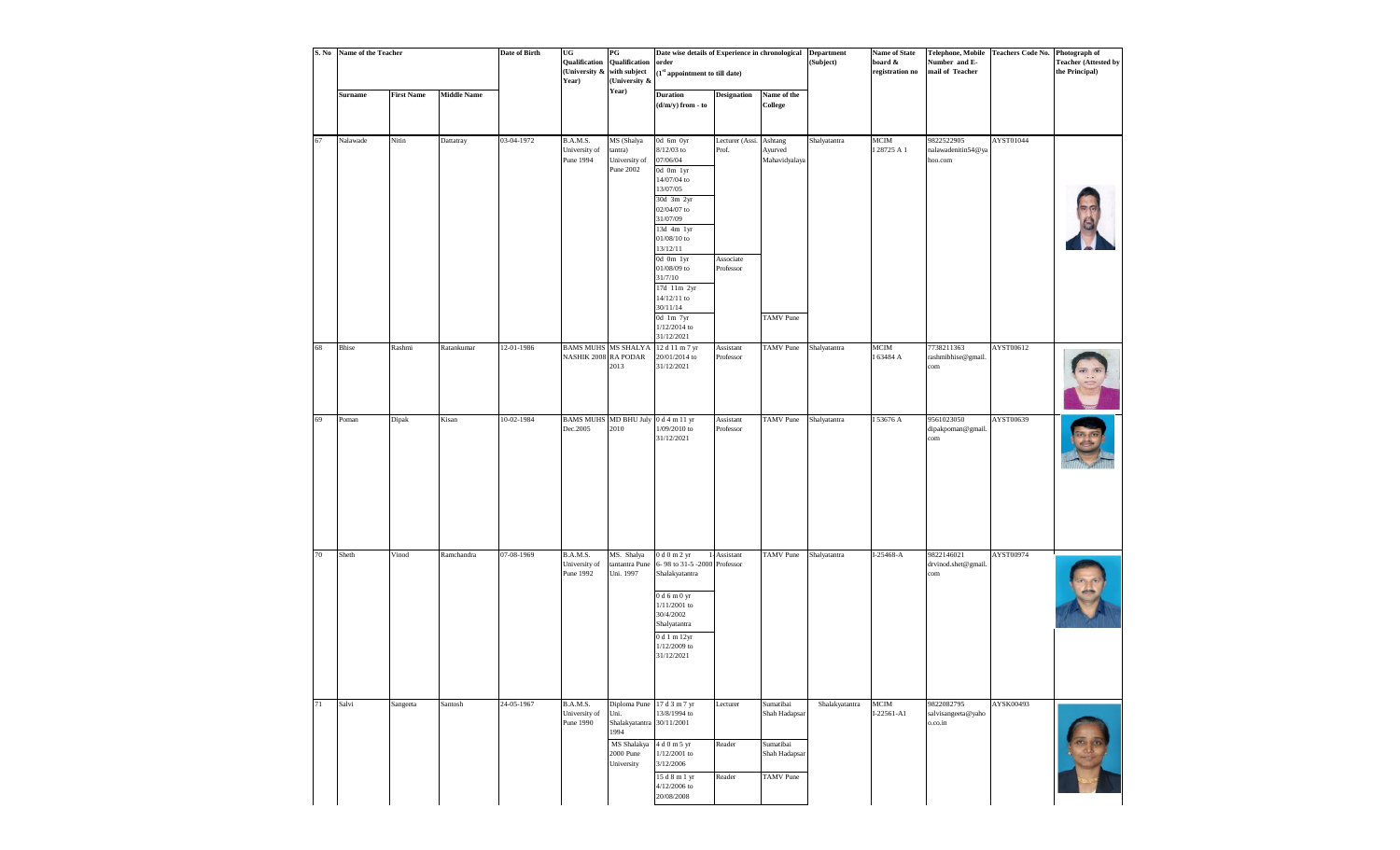| S. No | Name of the Teacher |                   |                    | <b>Date of Birth</b> | $_{\rm UG}$<br>Qualification<br>(University &<br>Year) | PG<br>Qualification<br>with subject<br>(University &                                                              | Date wise details of Experience in chronological<br>order<br>(1st appointment to till date)                                                                               |                              |                                                                              | <b>Department</b><br>(Subject) | <b>Name of State</b><br>board &<br>registration no | Number and E-<br>mail of Teacher            | Telephone, Mobile Teachers Code No. Photograph of | <b>Teacher (Attested by</b><br>the Principal) |
|-------|---------------------|-------------------|--------------------|----------------------|--------------------------------------------------------|-------------------------------------------------------------------------------------------------------------------|---------------------------------------------------------------------------------------------------------------------------------------------------------------------------|------------------------------|------------------------------------------------------------------------------|--------------------------------|----------------------------------------------------|---------------------------------------------|---------------------------------------------------|-----------------------------------------------|
|       | Surname             | <b>First Name</b> | <b>Middle Name</b> |                      |                                                        | Year)                                                                                                             | <b>Duration</b><br>(d/m/y) from - to                                                                                                                                      | <b>Designation</b>           | Name of the<br><b>College</b>                                                |                                |                                                    |                                             |                                                   |                                               |
| 67    | Nalawade            | Nitin             | Dattatray          | 03-04-1972           | B.A.M.S.<br>University of<br>Pune 1994                 | MS (Shalya<br>tantra)<br>University of<br>Pune 2002                                                               | 0d 6m 0yr<br>$8/12/03$ to<br>07/06/04<br>0d 0m 1yr<br>14/07/04 to<br>13/07/05<br>30d 3m 2yr<br>02/04/07 to<br>31/07/09<br>13d 4m 1yr<br>01/08/10 to<br>13/12/11           | Lecturer (Assi.<br>Prof.     | Ashtang<br>Ayurved<br>Mahavidyalaya                                          | Shalyatantra                   | MCIM<br>I 28725 A 1                                | 9822522905<br>nalawadenitin54@ya<br>hoo.com | AYST01044                                         |                                               |
|       |                     |                   |                    |                      |                                                        |                                                                                                                   | 0d 0m lyr<br>01/08/09 to<br>31/7/10<br>17d 11m 2yr<br>14/12/11 to<br>30/11/14<br>0d 1m 7yr<br>1/12/2014 to<br>31/12/2021                                                  | Associate<br>Professor       | <b>TAMV</b> Pune                                                             |                                |                                                    |                                             |                                                   |                                               |
| 68    | Bhise               | Rashmi            | Ratankumar         | 12-01-1986           | <b>BAMS MUHS</b><br>NASHIK 2008 RA PODAR               | MS SHALYA<br>2013                                                                                                 | 12 d 11 m 7 yr<br>20/01/2014 to<br>31/12/2021                                                                                                                             | Assistant<br>Professor       | <b>TAMV</b> Pune                                                             | Shalyatantra                   | $_{\rm MCM}$<br>I 63484 A                          | 7738211363<br>rashmibhise@gmail.<br>com     | AYST00612                                         |                                               |
| 69    | Poman               | Dipak             | Kisan              | 10-02-1984           | Dec.2005                                               | BAMS MUHS MD BHU July 0 d 4 m 11 yr<br>2010                                                                       | 1/09/2010 to<br>31/12/2021                                                                                                                                                | Assistant<br>Professor       | <b>TAMV</b> Pune                                                             | Shalyatantra                   | I 53676 A                                          | 9561023050<br>dipakpoman@gmail.<br>com      | AYST00639                                         |                                               |
| 70    | Sheth               | Vinod             | Ramchandra         | 07-08-1969           | B.A.M.S.<br>University of<br>Pune 1992                 | MS. Shalya<br>tantantra Pune<br>Uni. 1997                                                                         | 0 d 0 m 2 yr<br>6-98 to 31-5 -2000 Professor<br>Shalakyatantra<br>0 d 6 m 0 yr<br>1/11/2001 to<br>30/4/2002<br>Shalyatantra<br>0 d 1 m 12yr<br>1/12/2009 to<br>31/12/2021 | 1-Assistant                  | <b>TAMV</b> Pune                                                             | Shalyatantra                   | I-25468-A                                          | 9822146021<br>drvinod.shet@gmail.<br>com    | AYST00974                                         |                                               |
| 71    | Salvi               | Sangeeta          | Santosh            | 24-05-1967           | B.A.M.S.<br>University of<br>Pune 1990                 | Diploma Pune 17 d 3 m 7 yr<br>Uni.<br>Shalakyatantra 30/11/2001<br>1994<br>MS Shalakya<br>2000 Pune<br>University | 13/8/1994 to<br>4 d 0 m 5 yr<br>1/12/2001 to<br>3/12/2006<br>15 d 8 m 1 yr<br>$4/12/2006$ to<br>20/08/2008                                                                | Lecturer<br>Reader<br>Reader | Sumatibai<br>Shah Hadapsar<br>Sumatibai<br>Shah Hadapsar<br><b>TAMV</b> Pune | Shalakyatantra                 | MCIM<br>$I-22561 - A1$                             | 9822082795<br>salvisangeeta@yaho<br>o.co.in | AYSK00493                                         |                                               |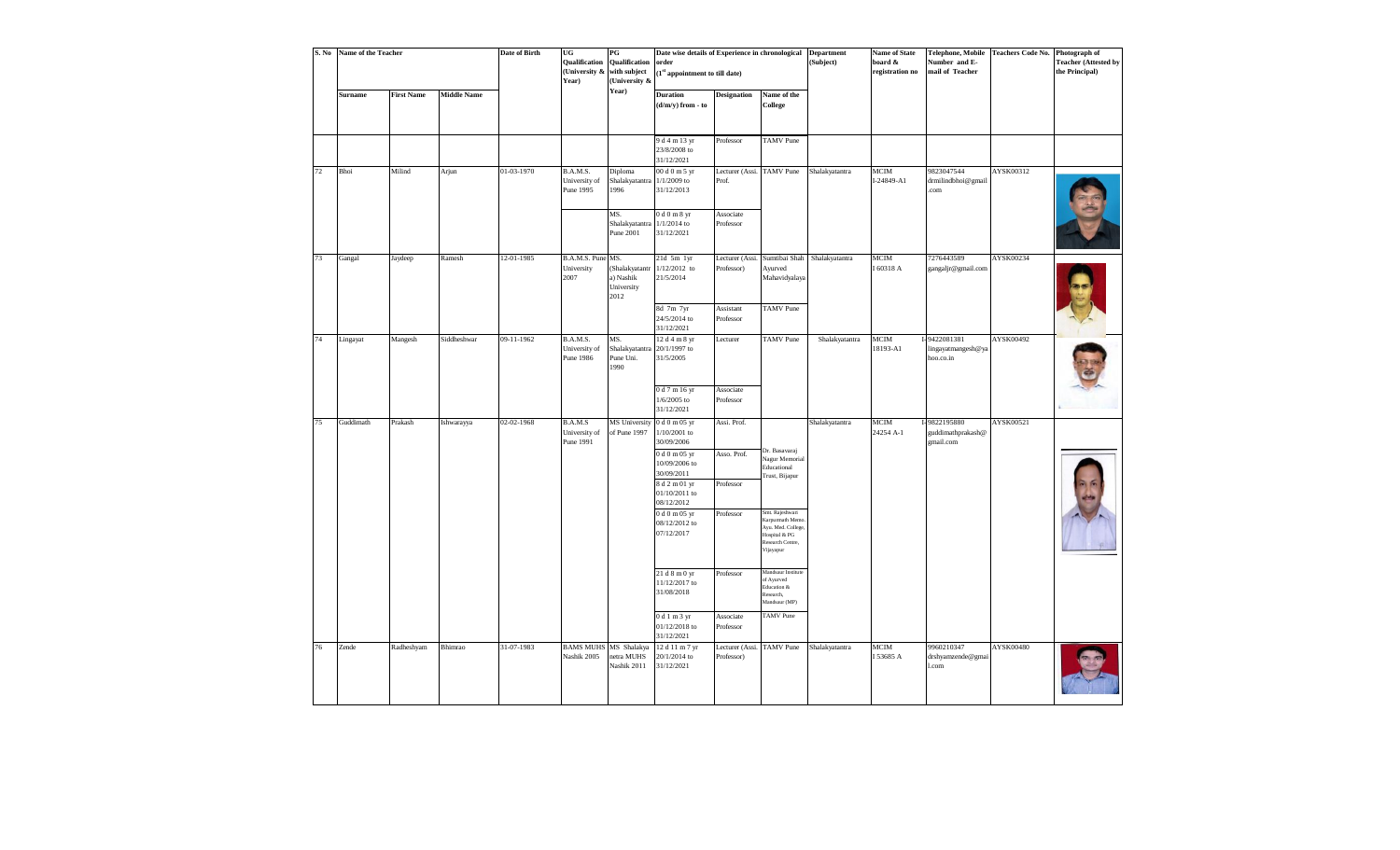| S. No | Name of the Teacher |                   |                    | <b>Date of Birth</b> | UG<br>Qualification<br>(University &<br>Year) | $_{\rm PG}$<br>Qualification<br>with subject<br>(University & | Date wise details of Experience in chronological<br>order<br>1 <sup>st</sup> appointment to till date) |                                    |                                                                                                         | <b>Department</b><br>(Subject) | <b>Name of State</b><br>board &<br>registration no | Telephone, Mobile<br>Number and E-<br>mail of Teacher | Teachers Code No. Photograph of | <b>Teacher (Attested by</b><br>the Principal) |
|-------|---------------------|-------------------|--------------------|----------------------|-----------------------------------------------|---------------------------------------------------------------|--------------------------------------------------------------------------------------------------------|------------------------------------|---------------------------------------------------------------------------------------------------------|--------------------------------|----------------------------------------------------|-------------------------------------------------------|---------------------------------|-----------------------------------------------|
|       | <b>Surname</b>      | <b>First Name</b> | <b>Middle Name</b> |                      |                                               | Year)                                                         | <b>Duration</b><br>$(d/m/y)$ from - to                                                                 | <b>Designation</b>                 | Name of the<br>College                                                                                  |                                |                                                    |                                                       |                                 |                                               |
|       |                     |                   |                    |                      |                                               |                                                               | 9 d 4 m 13 yr<br>23/8/2008 to<br>31/12/2021                                                            | Professor                          | <b>TAMV</b> Pune                                                                                        |                                |                                                    |                                                       |                                 |                                               |
| 72    | Bhoi                | Milind            | Arjun              | 01-03-1970           | B.A.M.S.<br>University of<br>Pune 1995        | Diploma<br>Shalakyatantra<br>1996                             | 00 d 0 m 5 yr<br>$1/1/2009$ to<br>31/12/2013                                                           | Lecturer (Assi. TAMV Pune<br>Prof. |                                                                                                         | Shalakyatantra                 | <b>MCIM</b><br>$I-24849 - A1$                      | 9823047544<br>drmilindbhoi@gmail<br>.com              | AYSK00312                       |                                               |
|       |                     |                   |                    |                      |                                               | MS.<br>Shalakyatantra<br>Pune 2001                            | 0 d 0 m 8 yr<br>$1/1/2014$ to<br>31/12/2021                                                            | Associate<br>Professor             |                                                                                                         |                                |                                                    |                                                       |                                 |                                               |
| 73    | Gangal              | Jaydeep           | Ramesh             | 12-01-1985           | B.A.M.S. Pune MS.<br>University<br>2007       | (Shalakyatantr<br>a) Nashik<br>University<br>2012             | $21d$ 5m $1yr$<br>$1/12/2012$ to<br>21/5/2014                                                          | Lecturer (Assi.<br>Professor)      | Ayurved<br>Mahavidyalaya                                                                                | Sumtibai Shah Shalakyatantra   | MCIM<br>I 60318 A                                  | 7276443589<br>gangaljr@gmail.com                      | AYSK00234                       |                                               |
|       |                     |                   |                    |                      |                                               |                                                               | 8d 7m 7yr<br>24/5/2014 to<br>31/12/2021                                                                | Assistant<br>Professor             | <b>TAMV</b> Pune                                                                                        |                                |                                                    |                                                       |                                 |                                               |
| 74    | Lingayat            | Mangesh           | Siddheshwar        | 09-11-1962           | B.A.M.S.<br>University of<br>Pune 1986        | MS.<br>Shalakyatantra<br>Pune Uni.<br>1990                    | 12 d 4 m 8 yr<br>20/1/1997 to<br>31/5/2005                                                             | Lecturer                           | <b>TAMV</b> Pune                                                                                        | Shalakyatantra                 | MCIM<br>18193-A1                                   | I-9422081381<br>lingayatmangesh@ya<br>hoo.co.in       | AYSK00492                       |                                               |
|       |                     |                   |                    |                      |                                               |                                                               | 0 d 7 m 16 yr<br>$1/6/2005$ to<br>31/12/2021                                                           | Associate<br>Professor             |                                                                                                         |                                |                                                    |                                                       |                                 |                                               |
| 75    | Guddimath           | Prakash           | Ishwarayya         | 02-02-1968           | B.A.M.S<br>University of<br>Pune 1991         | <b>MS</b> University<br>of Pune 1997                          | 0 d 0 m 05 yr<br>$1/10/2001$ to<br>30/09/2006                                                          | Assi. Prof.                        |                                                                                                         | Shalakyatantra                 | <b>MCIM</b><br>24254 A-1                           | I-9822195880<br>guddimathprakash@<br>gmail.com        | AYSK00521                       |                                               |
|       |                     |                   |                    |                      |                                               |                                                               | 0 d 0 m 05 yr<br>$10/09/2006$ to<br>30/09/2011                                                         | Asso. Prof.                        | Dr. Basavaraj<br>Nagur Memorial<br>Educational<br>Trust, Bijapur                                        |                                |                                                    |                                                       |                                 |                                               |
|       |                     |                   |                    |                      |                                               |                                                               | 8 d 2 m 01 yr<br>01/10/2011 to<br>08/12/2012                                                           | Professor                          |                                                                                                         |                                |                                                    |                                                       |                                 |                                               |
|       |                     |                   |                    |                      |                                               |                                                               | 0 d 0 m 05 yr<br>08/12/2012 to<br>07/12/2017                                                           | Professor                          | Smt. Rajeshwari<br>Karpurmath Mem<br>Ayu. Med. Colleg<br>Hospital & PG<br>Research Centre,<br>Vijayapur |                                |                                                    |                                                       |                                 |                                               |
|       |                     |                   |                    |                      |                                               |                                                               | 21d8m0yr<br>11/12/2017 to<br>31/08/2018                                                                | Professor                          | Mandsaur Institute<br>of Ayurved<br>Education &<br>Research,<br>Mandsaur (MP)                           |                                |                                                    |                                                       |                                 |                                               |
|       |                     |                   |                    |                      |                                               |                                                               | 0 d 1 m 3 yr<br>01/12/2018 to<br>31/12/2021                                                            | Associate<br>Professor             | <b>TAMV</b> Pune                                                                                        |                                |                                                    |                                                       |                                 |                                               |
| 76    | Zende               | Radheshyam        | Bhimrao            | 31-07-1983           | <b>BAMS MUHS MS Shalakya</b><br>Nashik 2005   | netra MUHS<br>Nashik 2011                                     | 12 d 11 m 7 yr<br>20/1/2014 to<br>31/12/2021                                                           | Lecturer (Assi.<br>Professor)      | TAMV Pune                                                                                               | Shalakyatantra                 | <b>MCIM</b><br>I 53685 A                           | 9960210347<br>drshyamzende@gmai<br>l.com              | AYSK00480                       |                                               |